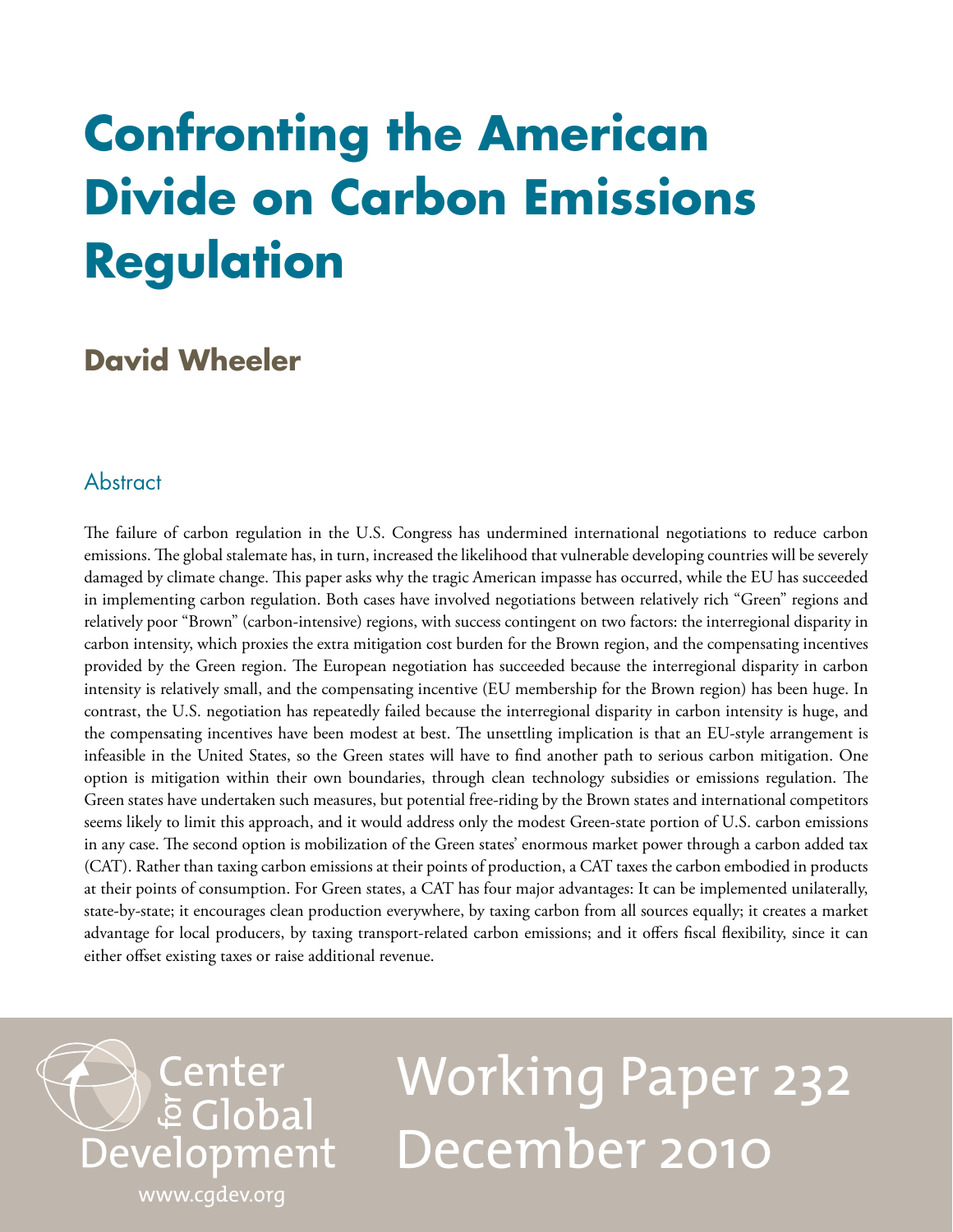## **Confronting the American Divide on Carbon Emissions Regulation**

### **David Wheeler**

#### **Abstract**

The failure of carbon regulation in the U.S. Congress has undermined international negotiations to reduce carbon emissions. The global stalemate has, in turn, increased the likelihood that vulnerable developing countries will be severely damaged by climate change. This paper asks why the tragic American impasse has occurred, while the EU has succeeded in implementing carbon regulation. Both cases have involved negotiations between relatively rich "Green" regions and relatively poor "Brown" (carbon-intensive) regions, with success contingent on two factors: the interregional disparity in carbon intensity, which proxies the extra mitigation cost burden for the Brown region, and the compensating incentives provided by the Green region. The European negotiation has succeeded because the interregional disparity in carbon intensity is relatively small, and the compensating incentive (EU membership for the Brown region) has been huge. In contrast, the U.S. negotiation has repeatedly failed because the interregional disparity in carbon intensity is huge, and the compensating incentives have been modest at best. The unsettling implication is that an EU-style arrangement is infeasible in the United States, so the Green states will have to find another path to serious carbon mitigation. One option is mitigation within their own boundaries, through clean technology subsidies or emissions regulation. The Green states have undertaken such measures, but potential free-riding by the Brown states and international competitors seems likely to limit this approach, and it would address only the modest Green-state portion of U.S. carbon emissions in any case. The second option is mobilization of the Green states' enormous market power through a carbon added tax (CAT). Rather than taxing carbon emissions at their points of production, a CAT taxes the carbon embodied in products at their points of consumption. For Green states, a CAT has four major advantages: It can be implemented unilaterally, state-by-state; it encourages clean production everywhere, by taxing carbon from all sources equally; it creates a market advantage for local producers, by taxing transport-related carbon emissions; and it offers fiscal flexibility, since it can either offset existing taxes or raise additional revenue.

# Working Paper 232 December 2010

[www.cgdev.org](http://www.cgdev.org)

Development

Center

**E** Global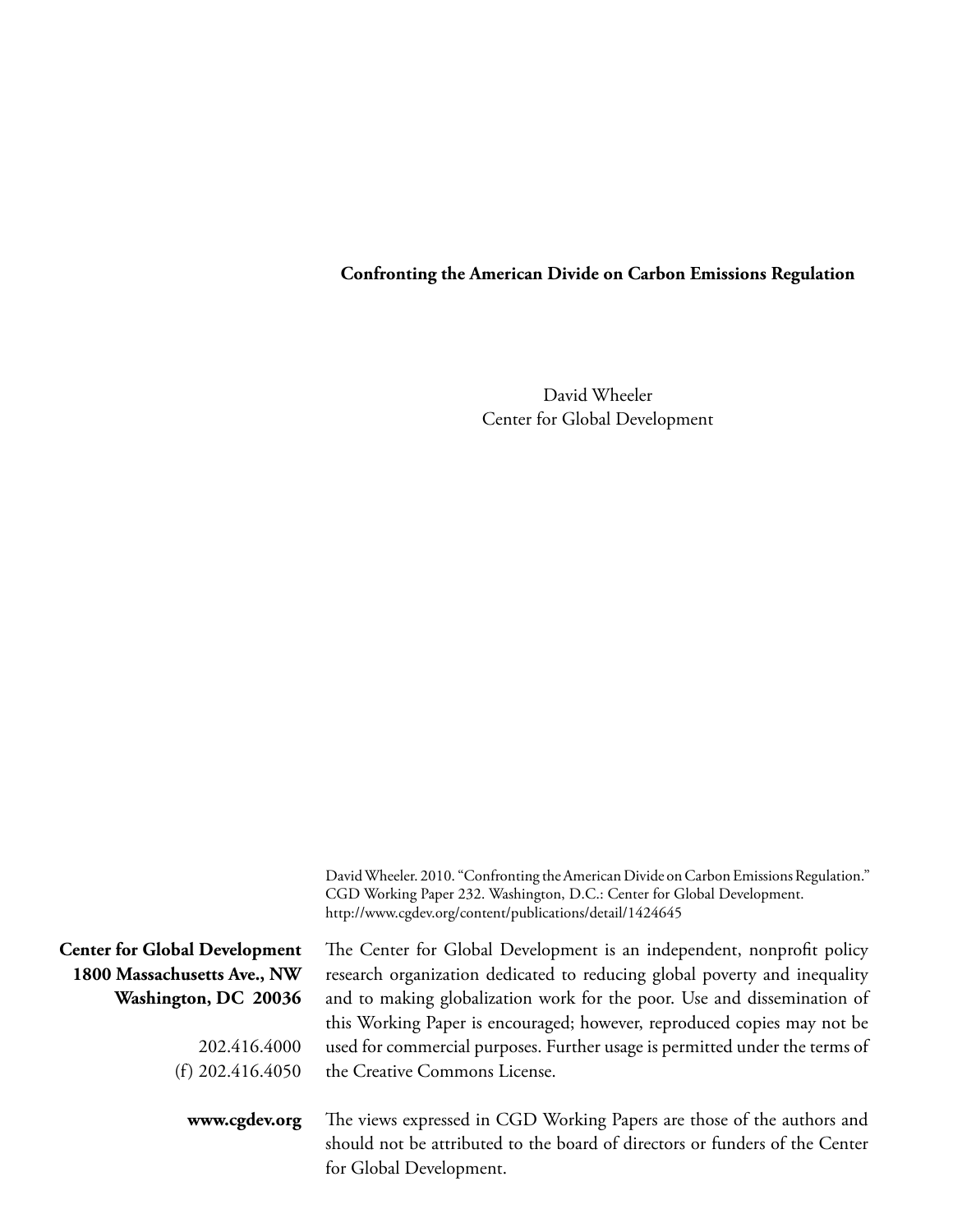#### **Confronting the American Divide on Carbon Emissions Regulation**

David Wheeler Center for Global Development

| David Wheeler. 2010. "Confronting the American Divide on Carbon Emissions Regulation." |
|----------------------------------------------------------------------------------------|
| CGD Working Paper 232. Washington, D.C.: Center for Global Development.                |
| http://www.cgdev.org/content/publications/detail/1424645                               |

The Center for Global Development is an independent, nonprofit policy

**Center for Global Development 1800 Massachusetts Ave., NW Washington, DC 20036**

> 202.416.4000 (f) 202.416.4050

research organization dedicated to reducing global poverty and inequality and to making globalization work for the poor. Use and dissemination of this Working Paper is encouraged; however, reproduced copies may not be used for commercial purposes. Further usage is permitted under the terms of the Creative Commons License.

**www.cgdev.org**

The views expressed in CGD Working Papers are those of the authors and should not be attributed to the board of directors or funders of the Center for Global Development.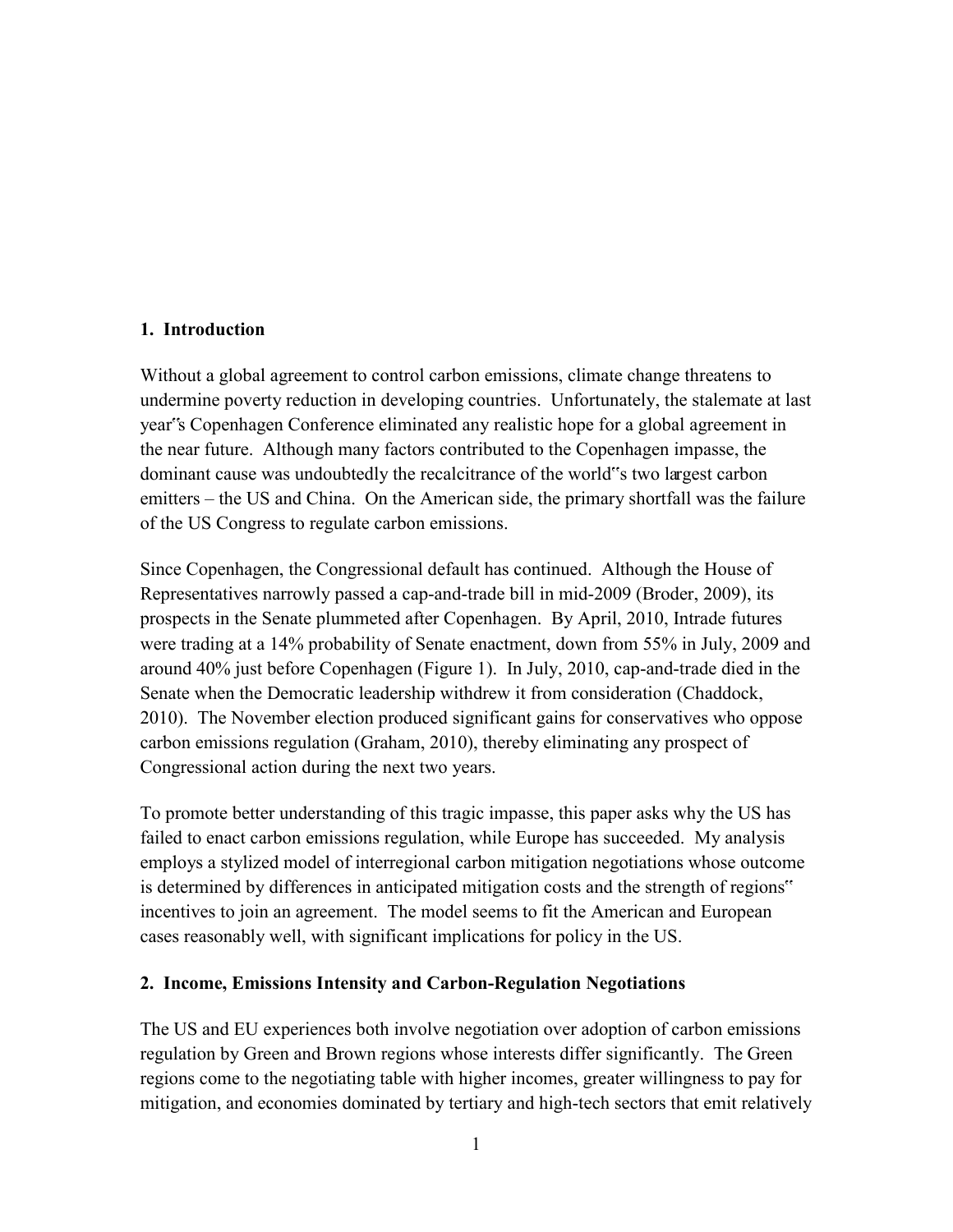#### **1. Introduction**

Without a global agreement to control carbon emissions, climate change threatens to undermine poverty reduction in developing countries. Unfortunately, the stalemate at last year"s Copenhagen Conference eliminated any realistic hope for a global agreement in the near future. Although many factors contributed to the Copenhagen impasse, the dominant cause was undoubtedly the recalcitrance of the world"s two largest carbon emitters – the US and China. On the American side, the primary shortfall was the failure of the US Congress to regulate carbon emissions.

Since Copenhagen, the Congressional default has continued. Although the House of Representatives narrowly passed a cap-and-trade bill in mid-2009 (Broder, 2009), its prospects in the Senate plummeted after Copenhagen. By April, 2010, Intrade futures were trading at a 14% probability of Senate enactment, down from 55% in July, 2009 and around 40% just before Copenhagen (Figure 1). In July, 2010, cap-and-trade died in the Senate when the Democratic leadership withdrew it from consideration (Chaddock, 2010). The November election produced significant gains for conservatives who oppose carbon emissions regulation (Graham, 2010), thereby eliminating any prospect of Congressional action during the next two years.

To promote better understanding of this tragic impasse, this paper asks why the US has failed to enact carbon emissions regulation, while Europe has succeeded. My analysis employs a stylized model of interregional carbon mitigation negotiations whose outcome is determined by differences in anticipated mitigation costs and the strength of regions" incentives to join an agreement. The model seems to fit the American and European cases reasonably well, with significant implications for policy in the US.

#### **2. Income, Emissions Intensity and Carbon-Regulation Negotiations**

The US and EU experiences both involve negotiation over adoption of carbon emissions regulation by Green and Brown regions whose interests differ significantly. The Green regions come to the negotiating table with higher incomes, greater willingness to pay for mitigation, and economies dominated by tertiary and high-tech sectors that emit relatively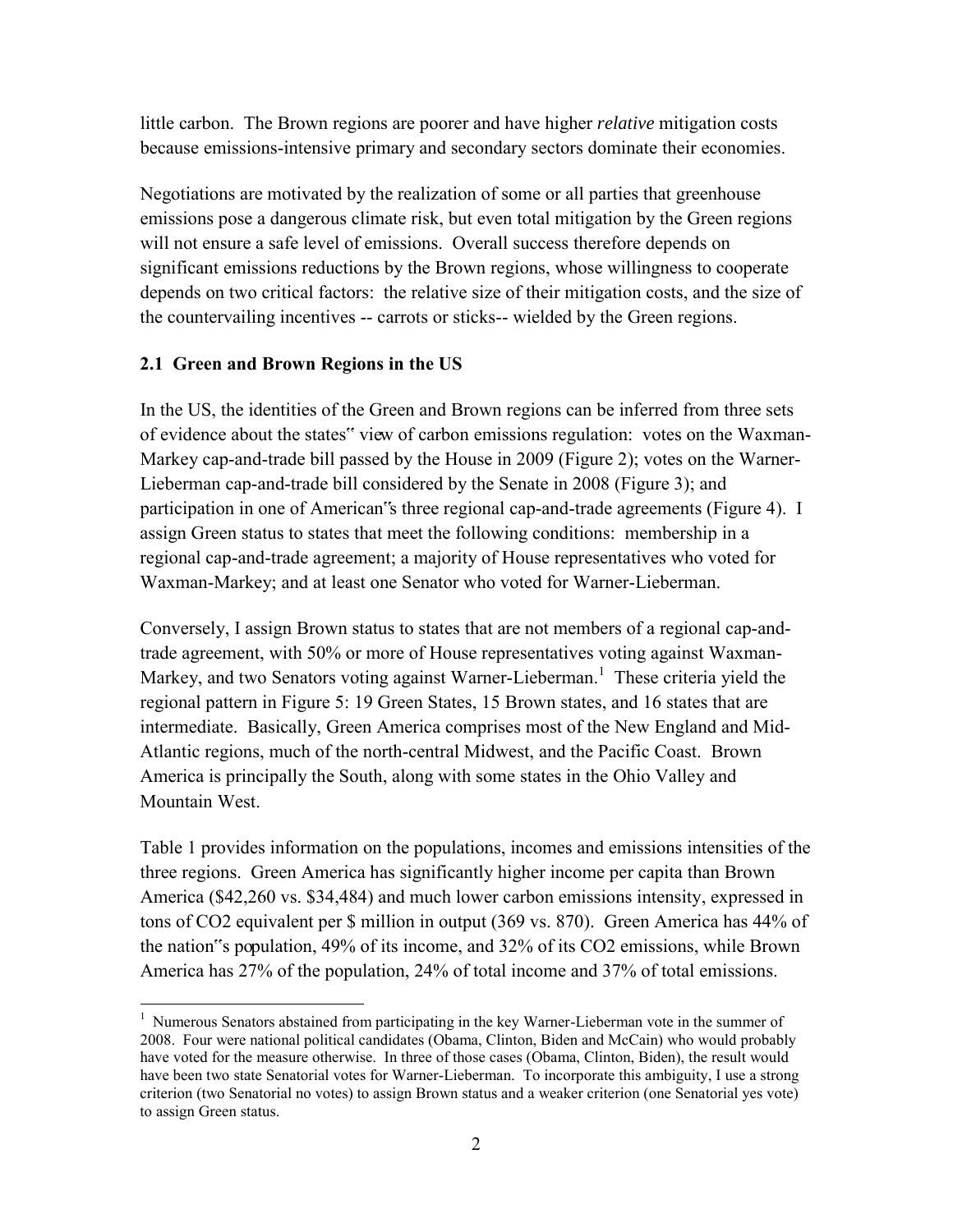little carbon. The Brown regions are poorer and have higher *relative* mitigation costs because emissions-intensive primary and secondary sectors dominate their economies.

Negotiations are motivated by the realization of some or all parties that greenhouse emissions pose a dangerous climate risk, but even total mitigation by the Green regions will not ensure a safe level of emissions. Overall success therefore depends on significant emissions reductions by the Brown regions, whose willingness to cooperate depends on two critical factors: the relative size of their mitigation costs, and the size of the countervailing incentives -- carrots or sticks-- wielded by the Green regions.

#### **2.1 Green and Brown Regions in the US**

In the US, the identities of the Green and Brown regions can be inferred from three sets of evidence about the states" view of carbon emissions regulation: votes on the Waxman-Markey cap-and-trade bill passed by the House in 2009 (Figure 2); votes on the Warner-Lieberman cap-and-trade bill considered by the Senate in 2008 (Figure 3); and participation in one of American"s three regional cap-and-trade agreements (Figure 4). I assign Green status to states that meet the following conditions: membership in a regional cap-and-trade agreement; a majority of House representatives who voted for Waxman-Markey; and at least one Senator who voted for Warner-Lieberman.

Conversely, I assign Brown status to states that are not members of a regional cap-andtrade agreement, with 50% or more of House representatives voting against Waxman-Markey, and two Senators voting against Warner-Lieberman.<sup>1</sup> These criteria yield the regional pattern in Figure 5: 19 Green States, 15 Brown states, and 16 states that are intermediate. Basically, Green America comprises most of the New England and Mid-Atlantic regions, much of the north-central Midwest, and the Pacific Coast. Brown America is principally the South, along with some states in the Ohio Valley and Mountain West.

Table 1 provides information on the populations, incomes and emissions intensities of the three regions. Green America has significantly higher income per capita than Brown America (\$42,260 vs. \$34,484) and much lower carbon emissions intensity, expressed in tons of CO2 equivalent per \$ million in output (369 vs. 870). Green America has 44% of the nation"s population, 49% of its income, and 32% of its CO2 emissions, while Brown America has 27% of the population, 24% of total income and 37% of total emissions.

 $\overline{a}$ <sup>1</sup> Numerous Senators abstained from participating in the key Warner-Lieberman vote in the summer of 2008. Four were national political candidates (Obama, Clinton, Biden and McCain) who would probably have voted for the measure otherwise. In three of those cases (Obama, Clinton, Biden), the result would have been two state Senatorial votes for Warner-Lieberman. To incorporate this ambiguity, I use a strong criterion (two Senatorial no votes) to assign Brown status and a weaker criterion (one Senatorial yes vote) to assign Green status.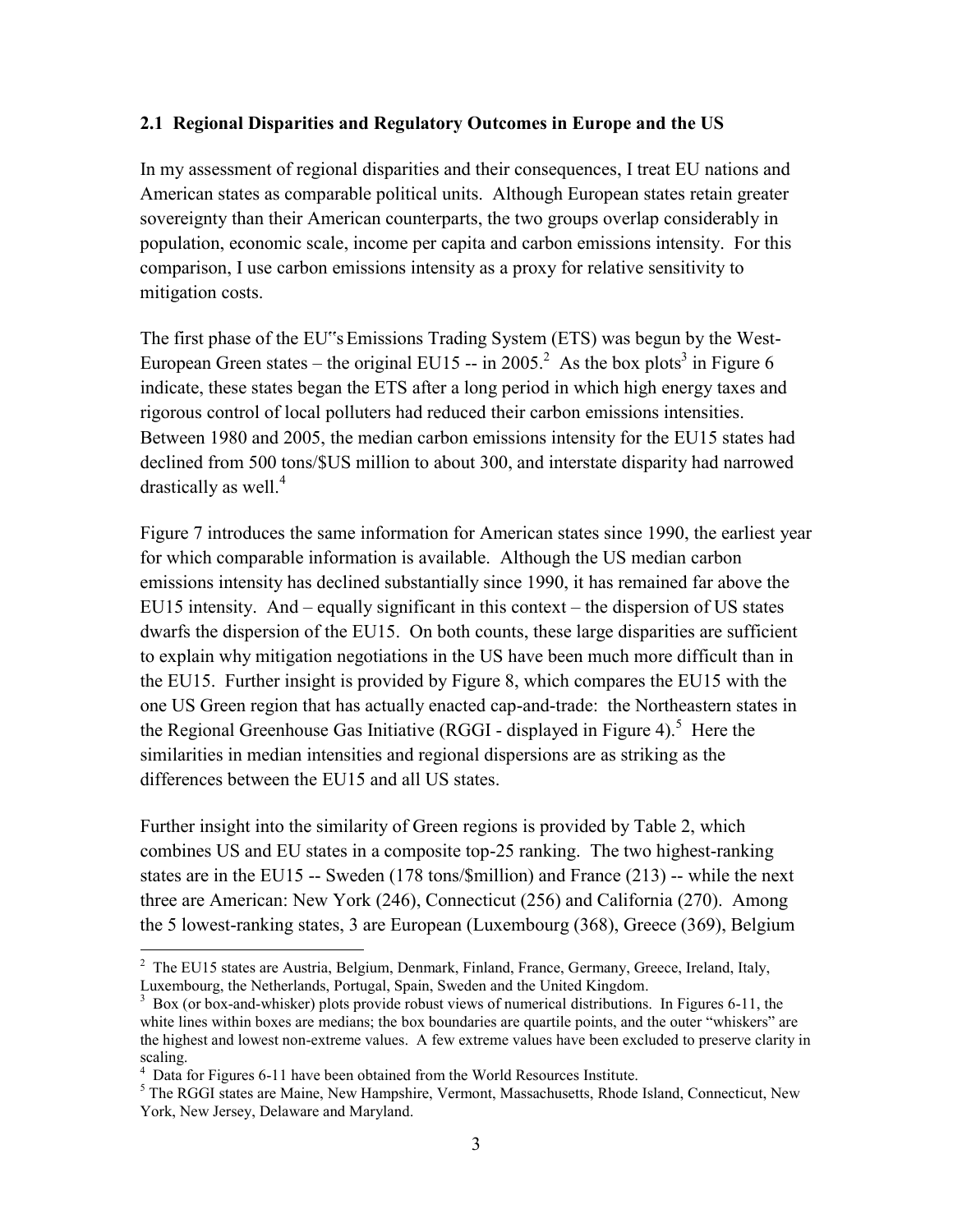#### **2.1 Regional Disparities and Regulatory Outcomes in Europe and the US**

In my assessment of regional disparities and their consequences, I treat EU nations and American states as comparable political units. Although European states retain greater sovereignty than their American counterparts, the two groups overlap considerably in population, economic scale, income per capita and carbon emissions intensity. For this comparison, I use carbon emissions intensity as a proxy for relative sensitivity to mitigation costs.

The first phase of the EU"s Emissions Trading System (ETS) was begun by the West-European Green states – the original EU15 -- in 2005.<sup>2</sup> As the box plots<sup>3</sup> in Figure 6 indicate, these states began the ETS after a long period in which high energy taxes and rigorous control of local polluters had reduced their carbon emissions intensities. Between 1980 and 2005, the median carbon emissions intensity for the EU15 states had declined from 500 tons/\$US million to about 300, and interstate disparity had narrowed drastically as well.<sup>4</sup>

Figure 7 introduces the same information for American states since 1990, the earliest year for which comparable information is available. Although the US median carbon emissions intensity has declined substantially since 1990, it has remained far above the EU15 intensity. And – equally significant in this context – the dispersion of US states dwarfs the dispersion of the EU15. On both counts, these large disparities are sufficient to explain why mitigation negotiations in the US have been much more difficult than in the EU15. Further insight is provided by Figure 8, which compares the EU15 with the one US Green region that has actually enacted cap-and-trade: the Northeastern states in the Regional Greenhouse Gas Initiative (RGGI - displayed in Figure 4).<sup>5</sup> Here the similarities in median intensities and regional dispersions are as striking as the differences between the EU15 and all US states.

Further insight into the similarity of Green regions is provided by Table 2, which combines US and EU states in a composite top-25 ranking. The two highest-ranking states are in the EU15 -- Sweden (178 tons/\$million) and France (213) -- while the next three are American: New York (246), Connecticut (256) and California (270). Among the 5 lowest-ranking states, 3 are European (Luxembourg (368), Greece (369), Belgium

<sup>&</sup>lt;sup>2</sup> The EU15 states are Austria, Belgium, Denmark, Finland, France, Germany, Greece, Ireland, Italy, Luxembourg, the Netherlands, Portugal, Spain, Sweden and the United Kingdom.

<sup>&</sup>lt;sup>3</sup> Box (or box-and-whisker) plots provide robust views of numerical distributions. In Figures 6-11, the white lines within boxes are medians; the box boundaries are quartile points, and the outer "whiskers" are the highest and lowest non-extreme values. A few extreme values have been excluded to preserve clarity in scaling.

<sup>&</sup>lt;sup>4</sup> Data for Figures 6-11 have been obtained from the World Resources Institute.

<sup>&</sup>lt;sup>5</sup> The RGGI states are Maine, New Hampshire, Vermont, Massachusetts, Rhode Island, Connecticut, New York, New Jersey, Delaware and Maryland.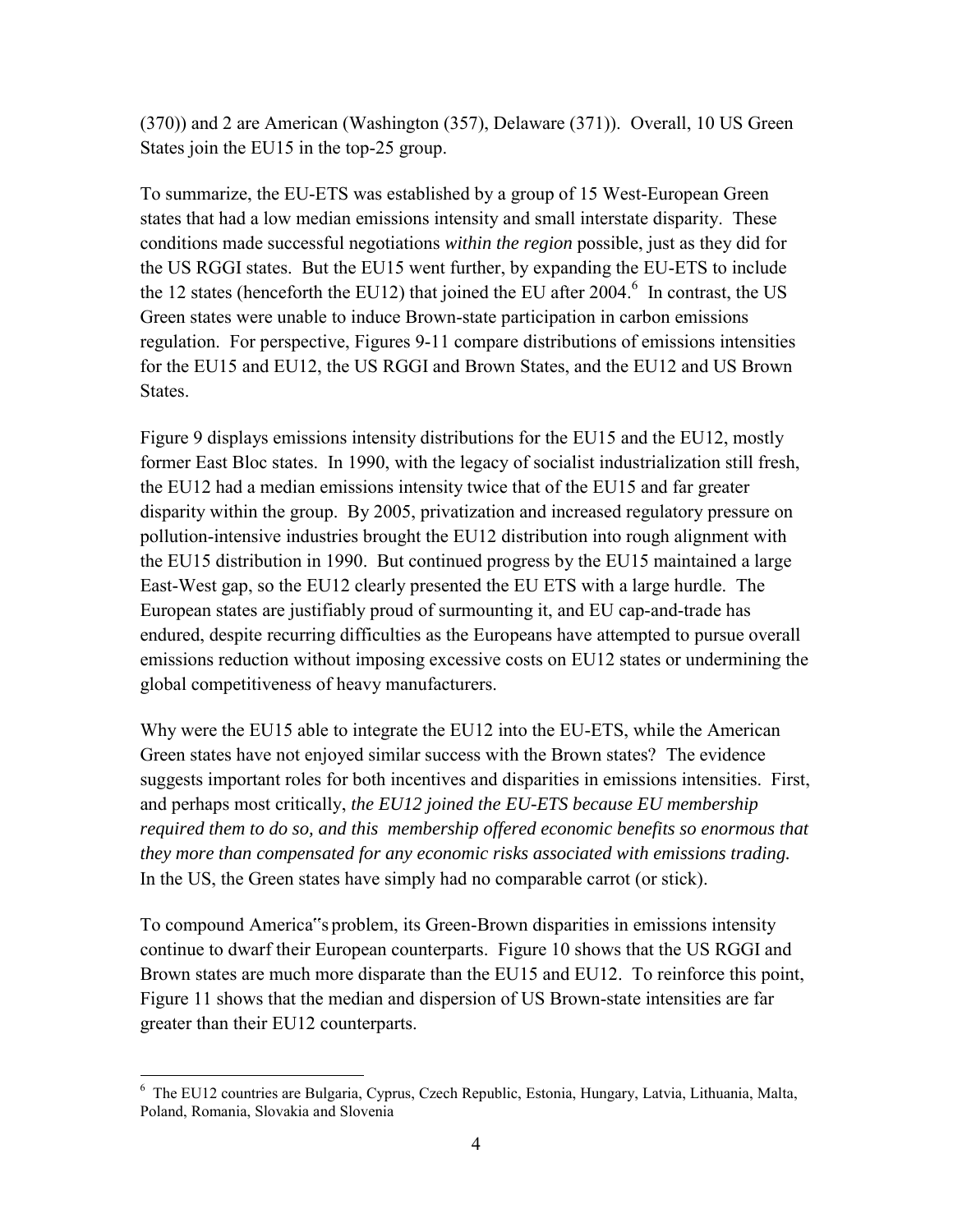(370)) and 2 are American (Washington (357), Delaware (371)). Overall, 10 US Green States join the EU15 in the top-25 group.

To summarize, the EU-ETS was established by a group of 15 West-European Green states that had a low median emissions intensity and small interstate disparity. These conditions made successful negotiations *within the region* possible, just as they did for the US RGGI states. But the EU15 went further, by expanding the EU-ETS to include the 12 states (henceforth the EU12) that joined the EU after  $2004.^6$  In contrast, the US Green states were unable to induce Brown-state participation in carbon emissions regulation. For perspective, Figures 9-11 compare distributions of emissions intensities for the EU15 and EU12, the US RGGI and Brown States, and the EU12 and US Brown States.

Figure 9 displays emissions intensity distributions for the EU15 and the EU12, mostly former East Bloc states. In 1990, with the legacy of socialist industrialization still fresh, the EU12 had a median emissions intensity twice that of the EU15 and far greater disparity within the group. By 2005, privatization and increased regulatory pressure on pollution-intensive industries brought the EU12 distribution into rough alignment with the EU15 distribution in 1990. But continued progress by the EU15 maintained a large East-West gap, so the EU12 clearly presented the EU ETS with a large hurdle. The European states are justifiably proud of surmounting it, and EU cap-and-trade has endured, despite recurring difficulties as the Europeans have attempted to pursue overall emissions reduction without imposing excessive costs on EU12 states or undermining the global competitiveness of heavy manufacturers.

Why were the EU15 able to integrate the EU12 into the EU-ETS, while the American Green states have not enjoyed similar success with the Brown states? The evidence suggests important roles for both incentives and disparities in emissions intensities. First, and perhaps most critically, *the EU12 joined the EU-ETS because EU membership required them to do so, and this membership offered economic benefits so enormous that they more than compensated for any economic risks associated with emissions trading.* In the US, the Green states have simply had no comparable carrot (or stick).

To compound America"s problem, its Green-Brown disparities in emissions intensity continue to dwarf their European counterparts. Figure 10 shows that the US RGGI and Brown states are much more disparate than the EU15 and EU12. To reinforce this point, Figure 11 shows that the median and dispersion of US Brown-state intensities are far greater than their EU12 counterparts.

 6 The EU12 countries are Bulgaria, Cyprus, Czech Republic, Estonia, Hungary, Latvia, Lithuania, Malta, Poland, Romania, Slovakia and Slovenia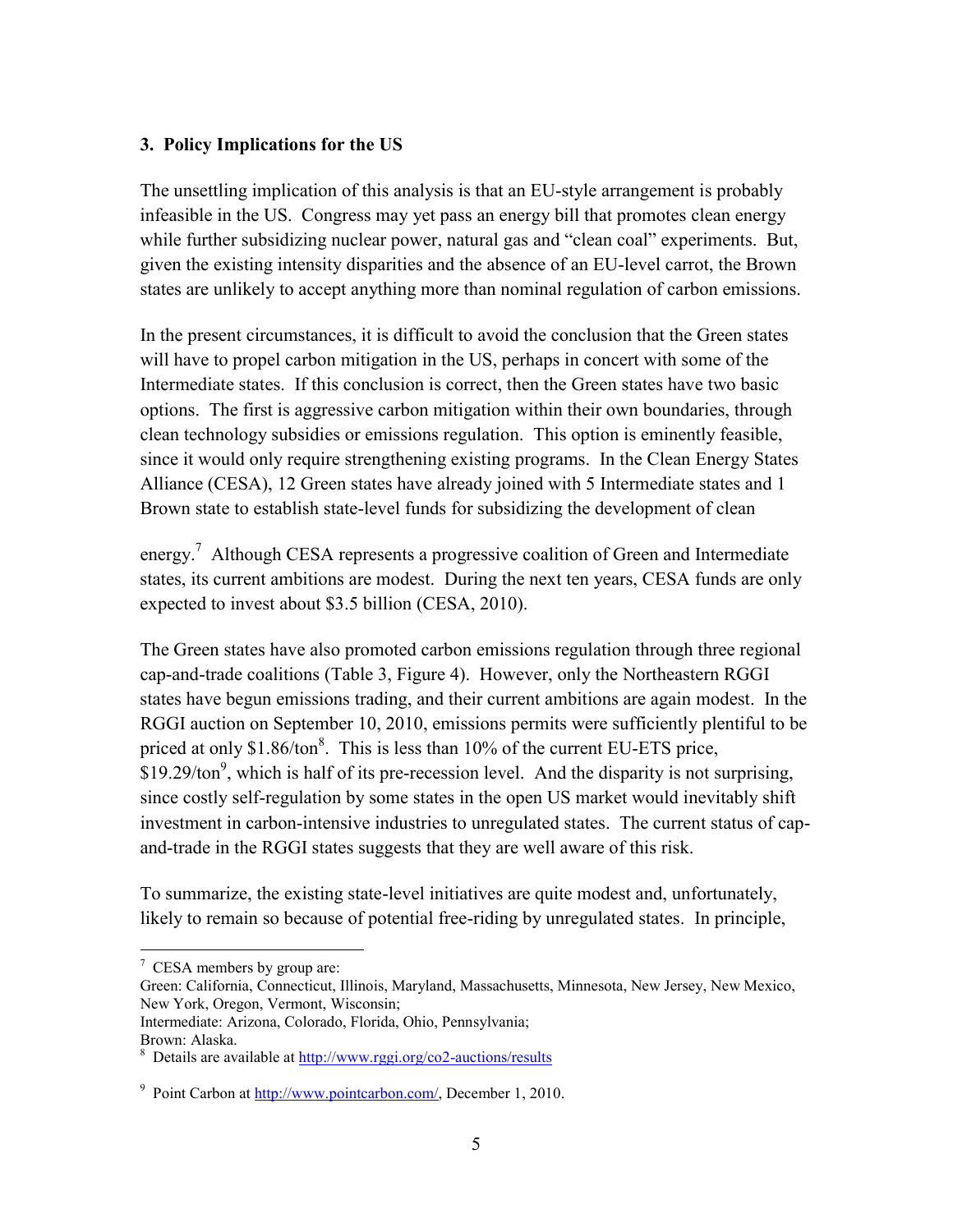#### **3. Policy Implications for the US**

The unsettling implication of this analysis is that an EU-style arrangement is probably infeasible in the US. Congress may yet pass an energy bill that promotes clean energy while further subsidizing nuclear power, natural gas and "clean coal" experiments. But, given the existing intensity disparities and the absence of an EU-level carrot, the Brown states are unlikely to accept anything more than nominal regulation of carbon emissions.

In the present circumstances, it is difficult to avoid the conclusion that the Green states will have to propel carbon mitigation in the US, perhaps in concert with some of the Intermediate states. If this conclusion is correct, then the Green states have two basic options. The first is aggressive carbon mitigation within their own boundaries, through clean technology subsidies or emissions regulation. This option is eminently feasible, since it would only require strengthening existing programs. In the Clean Energy States Alliance (CESA), 12 Green states have already joined with 5 Intermediate states and 1 Brown state to establish state-level funds for subsidizing the development of clean

energy.<sup>7</sup> Although CESA represents a progressive coalition of Green and Intermediate states, its current ambitions are modest. During the next ten years, CESA funds are only expected to invest about \$3.5 billion (CESA, 2010).

The Green states have also promoted carbon emissions regulation through three regional cap-and-trade coalitions (Table 3, Figure 4). However, only the Northeastern RGGI states have begun emissions trading, and their current ambitions are again modest. In the RGGI auction on September 10, 2010, emissions permits were sufficiently plentiful to be priced at only  $$1.86/ton<sup>8</sup>$ . This is less than 10% of the current EU-ETS price,  $$19.29/ton<sup>9</sup>,$  which is half of its pre-recession level. And the disparity is not surprising, since costly self-regulation by some states in the open US market would inevitably shift investment in carbon-intensive industries to unregulated states. The current status of capand-trade in the RGGI states suggests that they are well aware of this risk.

To summarize, the existing state-level initiatives are quite modest and, unfortunately, likely to remain so because of potential free-riding by unregulated states. In principle,

 $\overline{a}$  $7$  CESA members by group are:

Green: California, Connecticut, Illinois, Maryland, Massachusetts, Minnesota, New Jersey, New Mexico, New York, Oregon, Vermont, Wisconsin;

Intermediate: Arizona, Colorado, Florida, Ohio, Pennsylvania; Brown: Alaska.

<sup>&</sup>lt;sup>8</sup> Details are available at<http://www.rggi.org/co2-auctions/results>

<sup>&</sup>lt;sup>9</sup> Point Carbon at **http://www.pointcarbon.com/**, December 1, 2010.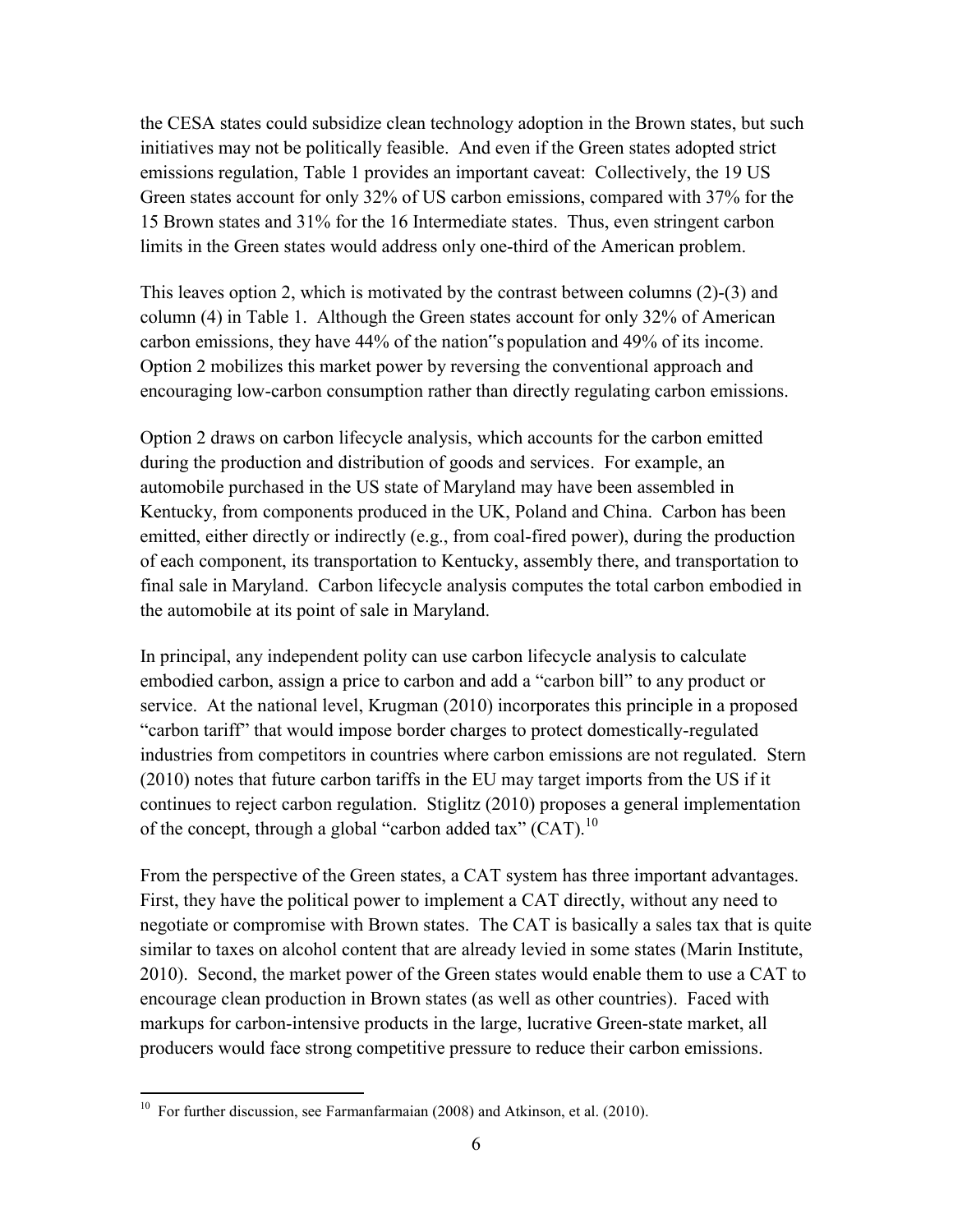the CESA states could subsidize clean technology adoption in the Brown states, but such initiatives may not be politically feasible. And even if the Green states adopted strict emissions regulation, Table 1 provides an important caveat: Collectively, the 19 US Green states account for only 32% of US carbon emissions, compared with 37% for the 15 Brown states and 31% for the 16 Intermediate states. Thus, even stringent carbon limits in the Green states would address only one-third of the American problem.

This leaves option 2, which is motivated by the contrast between columns (2)-(3) and column (4) in Table 1. Although the Green states account for only 32% of American carbon emissions, they have 44% of the nation"s population and 49% of its income. Option 2 mobilizes this market power by reversing the conventional approach and encouraging low-carbon consumption rather than directly regulating carbon emissions.

Option 2 draws on carbon lifecycle analysis, which accounts for the carbon emitted during the production and distribution of goods and services. For example, an automobile purchased in the US state of Maryland may have been assembled in Kentucky, from components produced in the UK, Poland and China. Carbon has been emitted, either directly or indirectly (e.g., from coal-fired power), during the production of each component, its transportation to Kentucky, assembly there, and transportation to final sale in Maryland. Carbon lifecycle analysis computes the total carbon embodied in the automobile at its point of sale in Maryland.

In principal, any independent polity can use carbon lifecycle analysis to calculate embodied carbon, assign a price to carbon and add a "carbon bill" to any product or service. At the national level, Krugman (2010) incorporates this principle in a proposed "carbon tariff" that would impose border charges to protect domestically-regulated industries from competitors in countries where carbon emissions are not regulated. Stern (2010) notes that future carbon tariffs in the EU may target imports from the US if it continues to reject carbon regulation. Stiglitz (2010) proposes a general implementation of the concept, through a global "carbon added tax" (CAT).<sup>10</sup>

From the perspective of the Green states, a CAT system has three important advantages. First, they have the political power to implement a CAT directly, without any need to negotiate or compromise with Brown states. The CAT is basically a sales tax that is quite similar to taxes on alcohol content that are already levied in some states (Marin Institute, 2010). Second, the market power of the Green states would enable them to use a CAT to encourage clean production in Brown states (as well as other countries). Faced with markups for carbon-intensive products in the large, lucrative Green-state market, all producers would face strong competitive pressure to reduce their carbon emissions.

 10 For further discussion, see Farmanfarmaian (2008) and Atkinson, et al. (2010).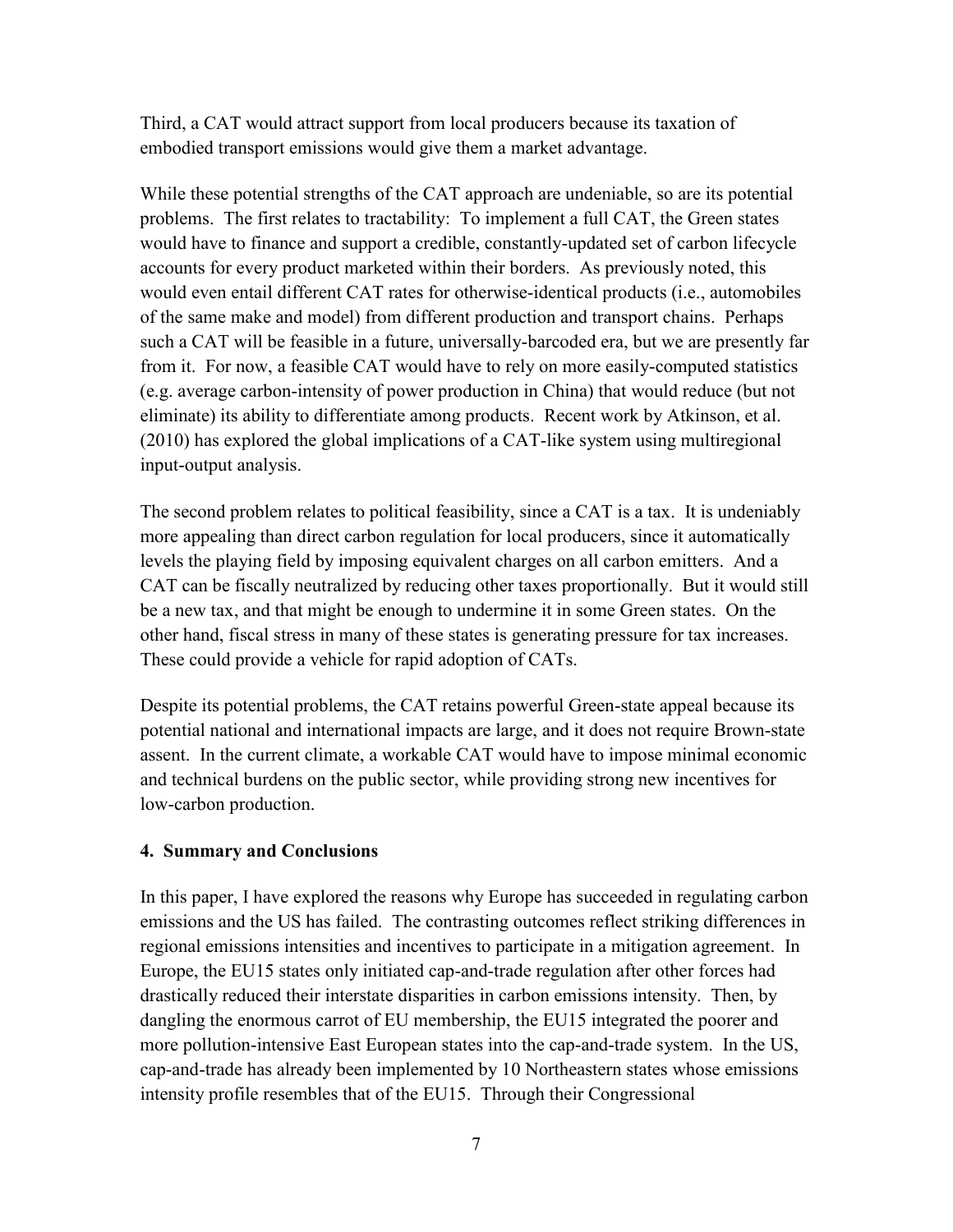Third, a CAT would attract support from local producers because its taxation of embodied transport emissions would give them a market advantage.

While these potential strengths of the CAT approach are undeniable, so are its potential problems. The first relates to tractability: To implement a full CAT, the Green states would have to finance and support a credible, constantly-updated set of carbon lifecycle accounts for every product marketed within their borders. As previously noted, this would even entail different CAT rates for otherwise-identical products (i.e., automobiles of the same make and model) from different production and transport chains. Perhaps such a CAT will be feasible in a future, universally-barcoded era, but we are presently far from it. For now, a feasible CAT would have to rely on more easily-computed statistics (e.g. average carbon-intensity of power production in China) that would reduce (but not eliminate) its ability to differentiate among products. Recent work by Atkinson, et al. (2010) has explored the global implications of a CAT-like system using multiregional input-output analysis.

The second problem relates to political feasibility, since a CAT is a tax. It is undeniably more appealing than direct carbon regulation for local producers, since it automatically levels the playing field by imposing equivalent charges on all carbon emitters. And a CAT can be fiscally neutralized by reducing other taxes proportionally. But it would still be a new tax, and that might be enough to undermine it in some Green states. On the other hand, fiscal stress in many of these states is generating pressure for tax increases. These could provide a vehicle for rapid adoption of CATs.

Despite its potential problems, the CAT retains powerful Green-state appeal because its potential national and international impacts are large, and it does not require Brown-state assent. In the current climate, a workable CAT would have to impose minimal economic and technical burdens on the public sector, while providing strong new incentives for low-carbon production.

#### **4. Summary and Conclusions**

In this paper, I have explored the reasons why Europe has succeeded in regulating carbon emissions and the US has failed. The contrasting outcomes reflect striking differences in regional emissions intensities and incentives to participate in a mitigation agreement. In Europe, the EU15 states only initiated cap-and-trade regulation after other forces had drastically reduced their interstate disparities in carbon emissions intensity. Then, by dangling the enormous carrot of EU membership, the EU15 integrated the poorer and more pollution-intensive East European states into the cap-and-trade system. In the US, cap-and-trade has already been implemented by 10 Northeastern states whose emissions intensity profile resembles that of the EU15. Through their Congressional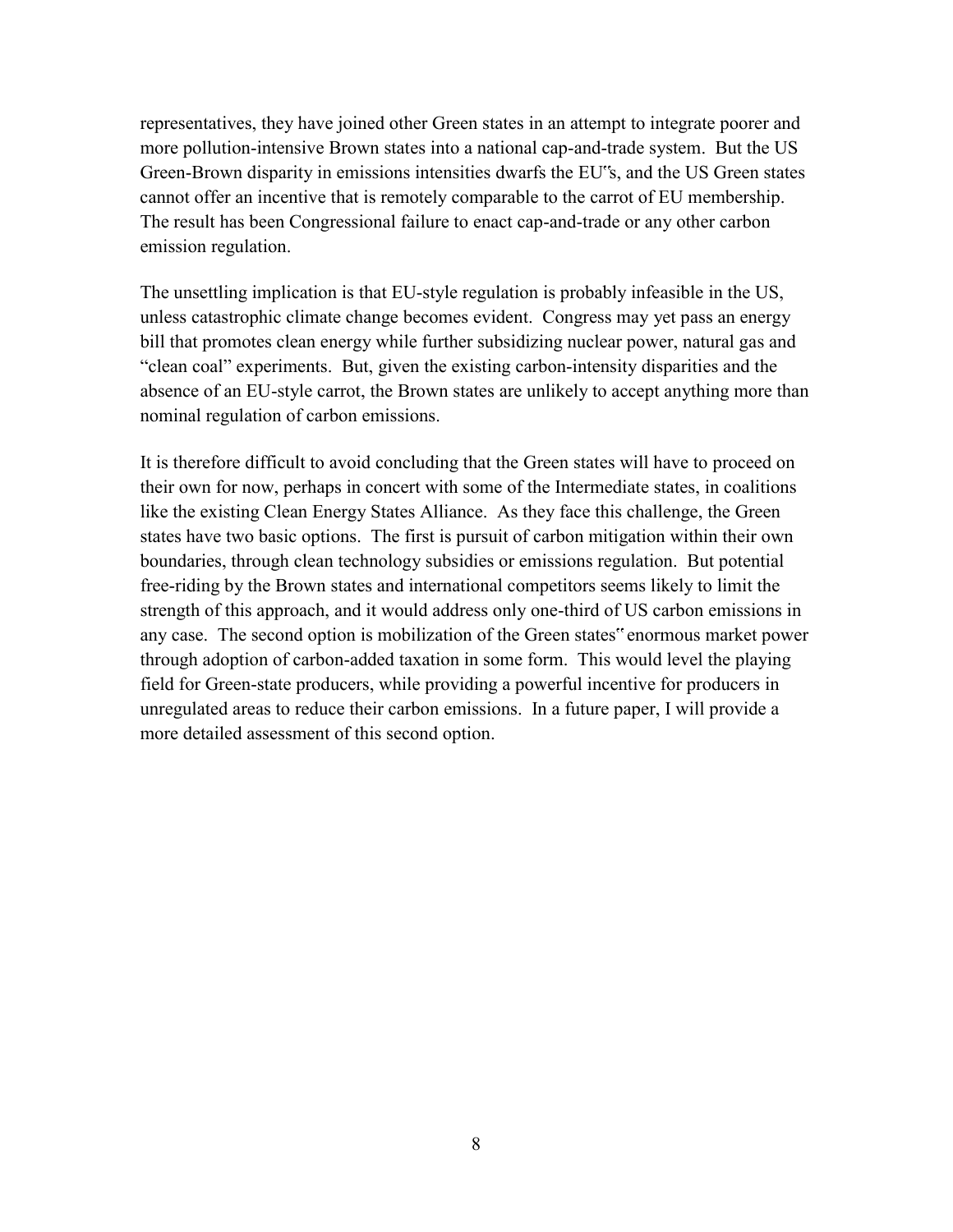representatives, they have joined other Green states in an attempt to integrate poorer and more pollution-intensive Brown states into a national cap-and-trade system. But the US Green-Brown disparity in emissions intensities dwarfs the EU"s, and the US Green states cannot offer an incentive that is remotely comparable to the carrot of EU membership. The result has been Congressional failure to enact cap-and-trade or any other carbon emission regulation.

The unsettling implication is that EU-style regulation is probably infeasible in the US, unless catastrophic climate change becomes evident. Congress may yet pass an energy bill that promotes clean energy while further subsidizing nuclear power, natural gas and "clean coal" experiments. But, given the existing carbon-intensity disparities and the absence of an EU-style carrot, the Brown states are unlikely to accept anything more than nominal regulation of carbon emissions.

It is therefore difficult to avoid concluding that the Green states will have to proceed on their own for now, perhaps in concert with some of the Intermediate states, in coalitions like the existing Clean Energy States Alliance. As they face this challenge, the Green states have two basic options. The first is pursuit of carbon mitigation within their own boundaries, through clean technology subsidies or emissions regulation. But potential free-riding by the Brown states and international competitors seems likely to limit the strength of this approach, and it would address only one-third of US carbon emissions in any case. The second option is mobilization of the Green states" enormous market power through adoption of carbon-added taxation in some form. This would level the playing field for Green-state producers, while providing a powerful incentive for producers in unregulated areas to reduce their carbon emissions. In a future paper, I will provide a more detailed assessment of this second option.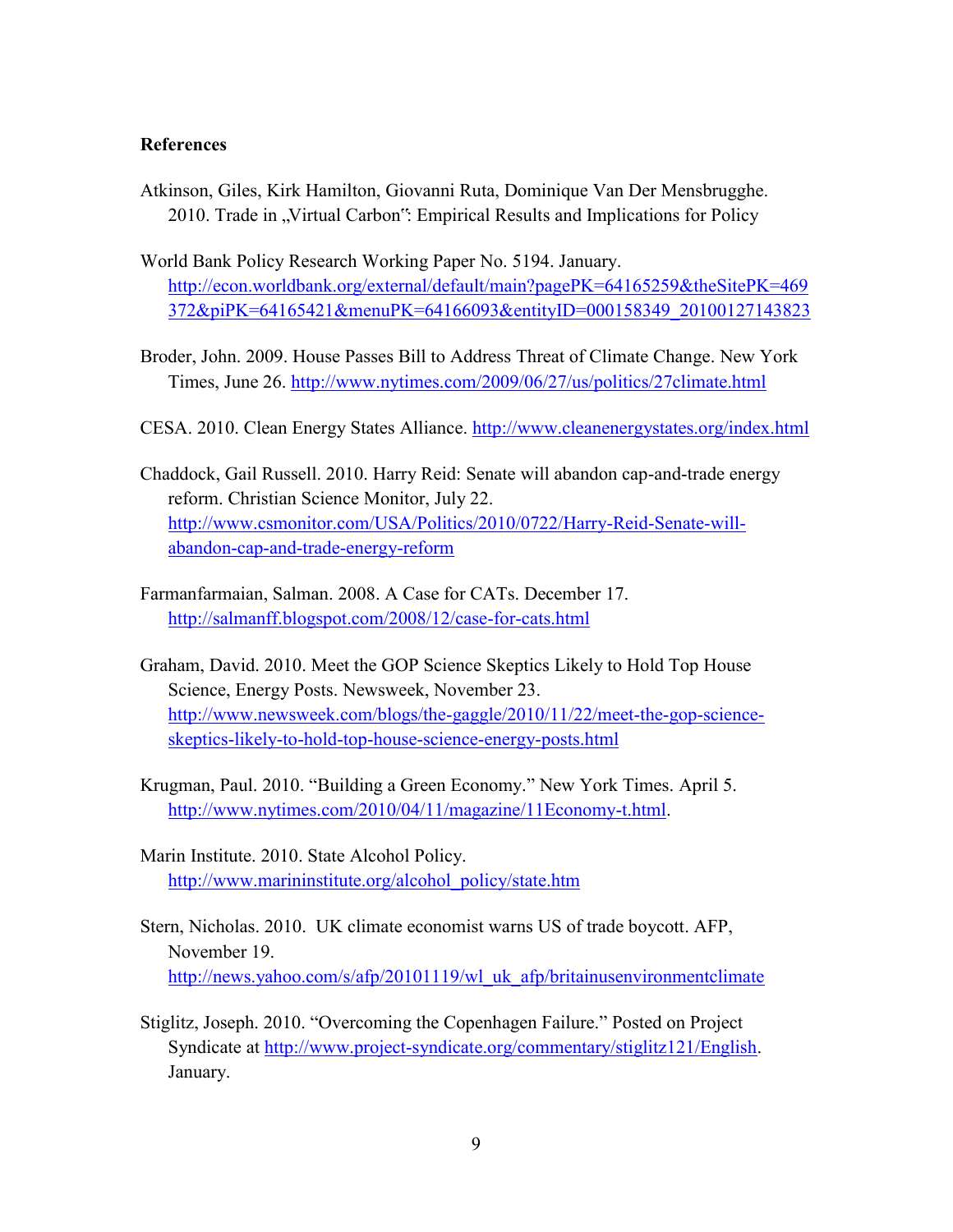#### **References**

- Atkinson, Giles, Kirk Hamilton, Giovanni Ruta, Dominique Van Der Mensbrugghe. 2010. Trade in "Virtual Carbon": Empirical Results and Implications for Policy
- World Bank Policy Research Working Paper No. 5194. January. [http://econ.worldbank.org/external/default/main?pagePK=64165259&theSitePK=469](http://econ.worldbank.org/external/default/main?pagePK=64165259&theSitePK=469372&piPK=64165421&menuPK=64166093&entityID=000158349_20100127143823) [372&piPK=64165421&menuPK=64166093&entityID=000158349\\_20100127143823](http://econ.worldbank.org/external/default/main?pagePK=64165259&theSitePK=469372&piPK=64165421&menuPK=64166093&entityID=000158349_20100127143823)
- Broder, John. 2009. House Passes Bill to Address Threat of Climate Change. New York Times, June 26.<http://www.nytimes.com/2009/06/27/us/politics/27climate.html>
- CESA. 2010. Clean Energy States Alliance.<http://www.cleanenergystates.org/index.html>
- Chaddock, Gail Russell. 2010. Harry Reid: Senate will abandon cap-and-trade energy reform. Christian Science Monitor, July 22. [http://www.csmonitor.com/USA/Politics/2010/0722/Harry-Reid-Senate-will](http://www.csmonitor.com/USA/Politics/2010/0722/Harry-Reid-Senate-will-abandon-cap-and-trade-energy-reform)[abandon-cap-and-trade-energy-reform](http://www.csmonitor.com/USA/Politics/2010/0722/Harry-Reid-Senate-will-abandon-cap-and-trade-energy-reform)
- Farmanfarmaian, Salman. 2008. A Case for CATs. December 17. <http://salmanff.blogspot.com/2008/12/case-for-cats.html>
- Graham, David. 2010. Meet the GOP Science Skeptics Likely to Hold Top House Science, Energy Posts. Newsweek, November 23. [http://www.newsweek.com/blogs/the-gaggle/2010/11/22/meet-the-gop-science](http://www.newsweek.com/blogs/the-gaggle/2010/11/22/meet-the-gop-science-skeptics-likely-to-hold-top-house-science-energy-posts.html)[skeptics-likely-to-hold-top-house-science-energy-posts.html](http://www.newsweek.com/blogs/the-gaggle/2010/11/22/meet-the-gop-science-skeptics-likely-to-hold-top-house-science-energy-posts.html)
- Krugman, Paul. 2010. "Building a Green Economy." New York Times. April 5. [http://www.nytimes.com/2010/04/11/magazine/11Economy-t.html.](http://www.nytimes.com/2010/04/11/magazine/11Economy-t.html)
- Marin Institute. 2010. State Alcohol Policy. [http://www.marininstitute.org/alcohol\\_policy/state.htm](http://www.marininstitute.org/alcohol_policy/state.htm)
- Stern, Nicholas. 2010. UK climate economist warns US of trade boycott. AFP, November 19. [http://news.yahoo.com/s/afp/20101119/wl\\_uk\\_afp/britainusenvironmentclimate](http://news.yahoo.com/s/afp/20101119/wl_uk_afp/britainusenvironmentclimate)
- Stiglitz, Joseph. 2010. "Overcoming the Copenhagen Failure." Posted on Project Syndicate at [http://www.project-syndicate.org/commentary/stiglitz121/English.](http://www.project-syndicate.org/commentary/stiglitz121/English) January.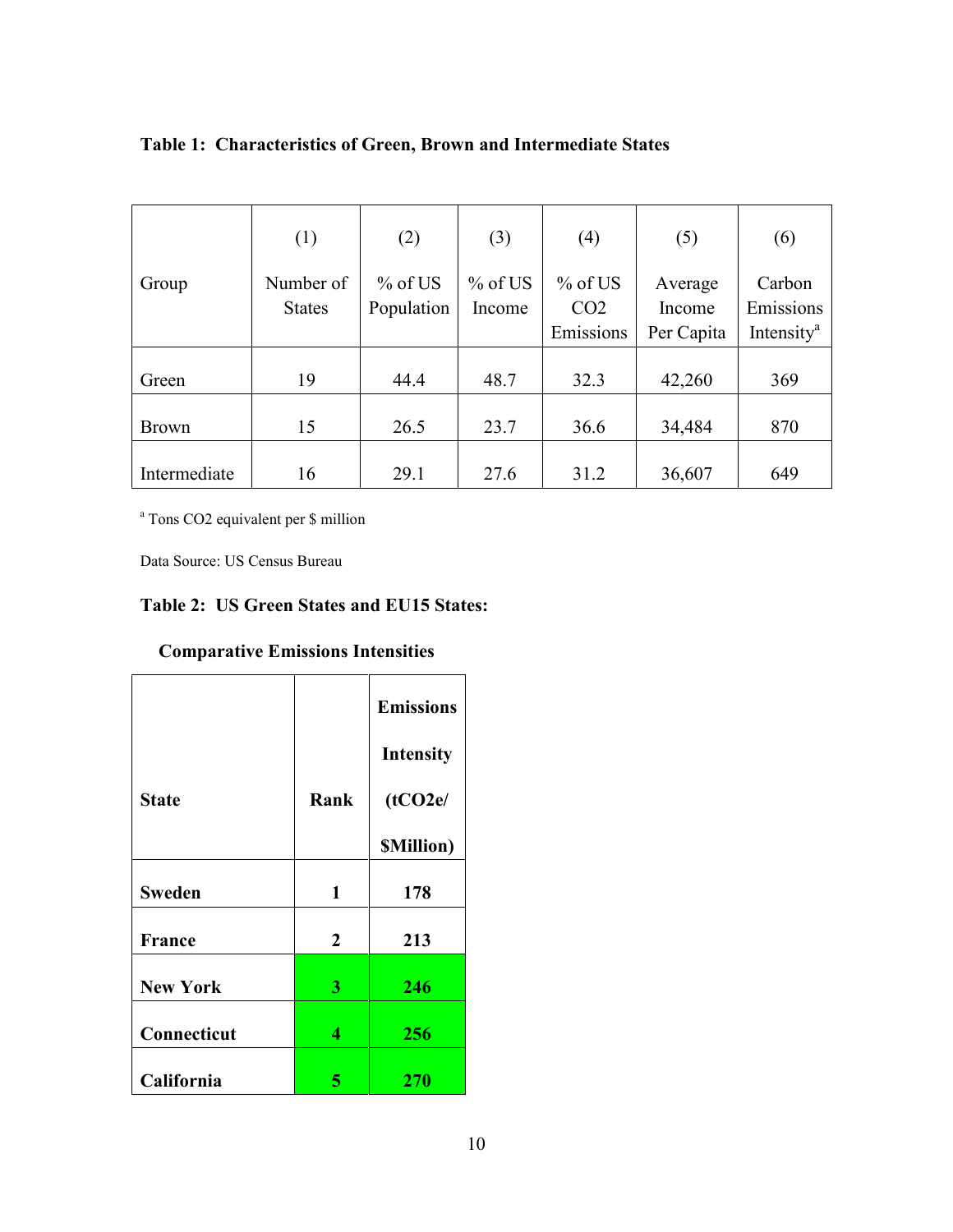|              | (1)           | (2)        | (3)       | (4)             | (5)        | (6)                    |
|--------------|---------------|------------|-----------|-----------------|------------|------------------------|
| Group        | Number of     | $%$ of US  | $%$ of US | $%$ of US       | Average    | Carbon                 |
|              | <b>States</b> | Population | Income    | CO <sub>2</sub> | Income     | Emissions              |
|              |               |            |           | Emissions       | Per Capita | Intensity <sup>a</sup> |
|              |               |            |           |                 |            |                        |
| Green        | 19            | 44.4       | 48.7      | 32.3            | 42,260     | 369                    |
| <b>Brown</b> | 15            | 26.5       | 23.7      | 36.6            | 34,484     | 870                    |
| Intermediate | 16            | 29.1       | 27.6      | 31.2            | 36,607     | 649                    |

**Table 1: Characteristics of Green, Brown and Intermediate States** 

a Tons CO2 equivalent per \$ million

Data Source: US Census Bureau

#### **Table 2: US Green States and EU15 States:**

|                 |              | <b>Emissions</b>  |
|-----------------|--------------|-------------------|
|                 |              | <b>Intensity</b>  |
| <b>State</b>    | Rank         | (tCO2e/           |
|                 |              | <b>SMillion</b> ) |
| <b>Sweden</b>   | 1            | 178               |
| France          | $\mathbf{2}$ | 213               |
| <b>New York</b> | 3            | 246               |
| Connecticut     | 4            | 256               |
| California      | 5            | 270               |

#### **Comparative Emissions Intensities**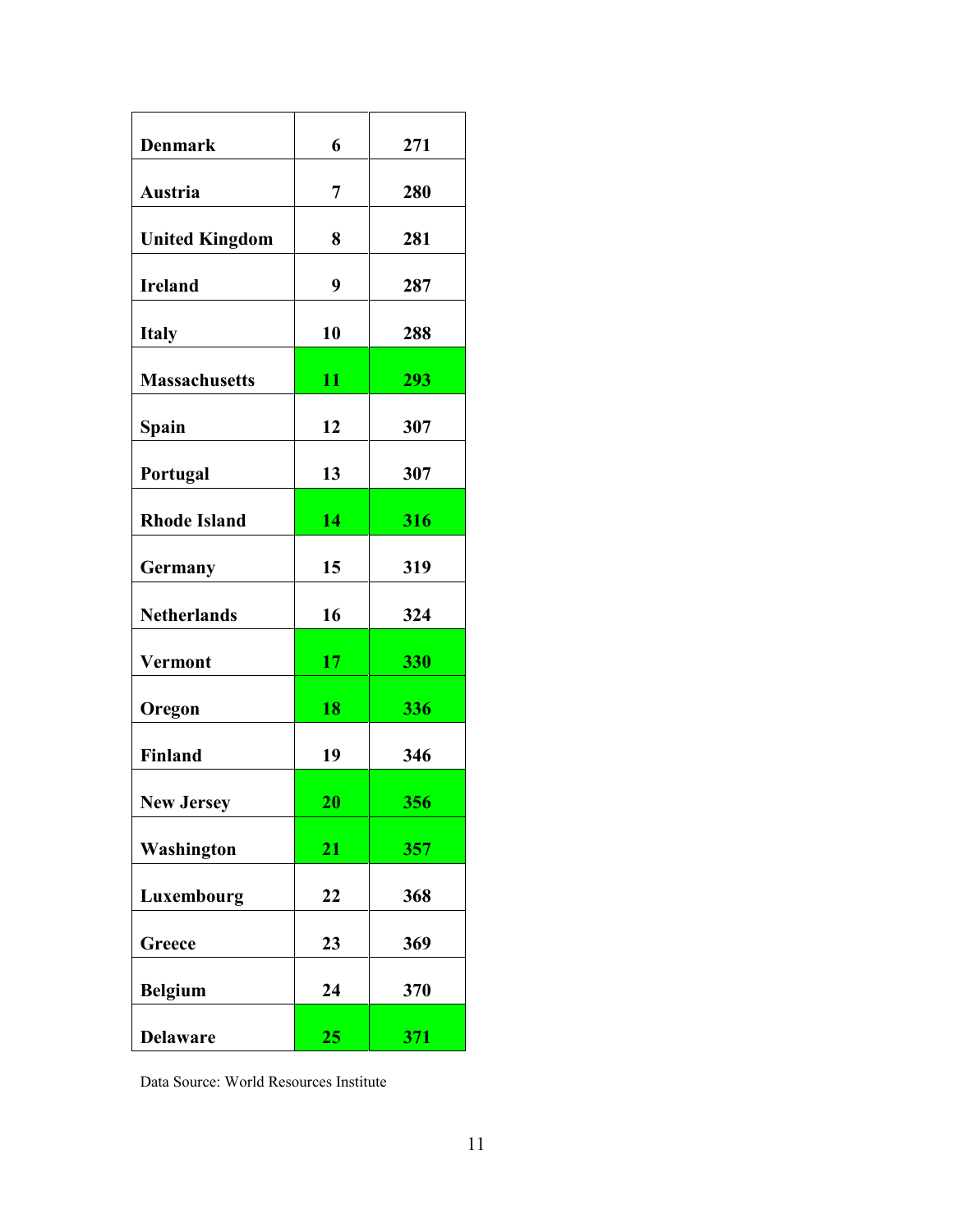| <b>Denmark</b>        | 6              | 271 |
|-----------------------|----------------|-----|
| Austria               | $\overline{7}$ | 280 |
| <b>United Kingdom</b> | 8              | 281 |
| <b>Ireland</b>        | 9              | 287 |
| <b>Italy</b>          | 10             | 288 |
| <b>Massachusetts</b>  | 11             | 293 |
| Spain                 | 12             | 307 |
| Portugal              | 13             | 307 |
| <b>Rhode Island</b>   | 14             | 316 |
| Germany               | 15             | 319 |
| <b>Netherlands</b>    | 16             | 324 |
| <b>Vermont</b>        | 17             | 330 |
| Oregon                | 18             | 336 |
|                       |                |     |
| Finland               | 19             | 346 |
| <b>New Jersey</b>     | 20             | 356 |
| Washington            | 21             | 357 |
| Luxembourg            | 22             | 368 |
| Greece                | 23             | 369 |
| <b>Belgium</b>        | 24             | 370 |
| <b>Delaware</b>       | 25             | 371 |

Data Source: World Resources Institute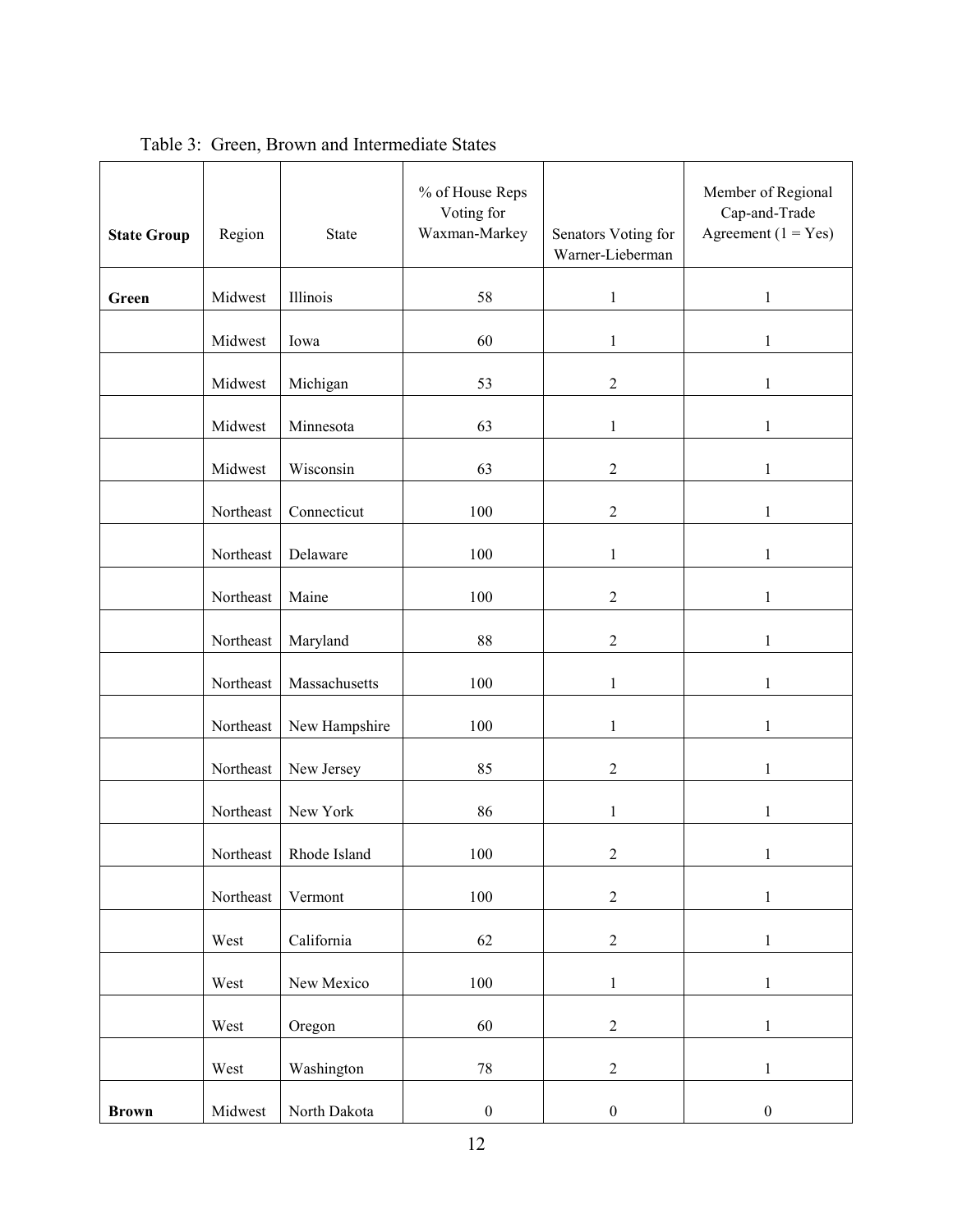| <b>State Group</b> | Region    | <b>State</b>  | % of House Reps<br>Voting for<br>Waxman-Markey | Senators Voting for<br>Warner-Lieberman | Member of Regional<br>Cap-and-Trade<br>Agreement $(1 = Yes)$ |
|--------------------|-----------|---------------|------------------------------------------------|-----------------------------------------|--------------------------------------------------------------|
| Green              | Midwest   | Illinois      | 58                                             | $\mathbf{1}$                            | $\mathbf{1}$                                                 |
|                    | Midwest   | Iowa          | 60                                             | $\mathbf{1}$                            | $\mathbf{1}$                                                 |
|                    | Midwest   | Michigan      | 53                                             | $\mathbf{2}$                            | $\mathbf{1}$                                                 |
|                    | Midwest   | Minnesota     | 63                                             | $\mathbf{1}$                            | $\mathbf{1}$                                                 |
|                    | Midwest   | Wisconsin     | 63                                             | $\boldsymbol{2}$                        | $\mathbf{1}$                                                 |
|                    | Northeast | Connecticut   | 100                                            | $\boldsymbol{2}$                        | 1                                                            |
|                    | Northeast | Delaware      | 100                                            | $\mathbf{1}$                            | $\mathbf{1}$                                                 |
|                    | Northeast | Maine         | 100                                            | $\overline{2}$                          | $\mathbf{1}$                                                 |
|                    | Northeast | Maryland      | 88                                             | $\overline{2}$                          | $\mathbf{1}$                                                 |
|                    | Northeast | Massachusetts | 100                                            | 1                                       | 1                                                            |
|                    | Northeast | New Hampshire | 100                                            | $\mathbf{1}$                            | $\mathbf{1}$                                                 |
|                    | Northeast | New Jersey    | 85                                             | $\overline{2}$                          | $\mathbf{1}$                                                 |
|                    | Northeast | New York      | 86                                             | $\mathbf{1}$                            | $\mathbf{1}$                                                 |
|                    | Northeast | Rhode Island  | 100                                            | $\boldsymbol{2}$                        | $\mathbf{1}$                                                 |
|                    | Northeast | Vermont       | 100                                            | $\overline{2}$                          | $\,1$                                                        |
|                    | West      | California    | 62                                             | $\sqrt{2}$                              | $\,1$                                                        |
|                    | West      | New Mexico    | 100                                            | $\mathbf{1}$                            | $\,1$                                                        |
|                    | West      | Oregon        | 60                                             | $\boldsymbol{2}$                        | $\mathbf{1}$                                                 |
|                    | West      | Washington    | $78\,$                                         | $\overline{c}$                          | $\,1$                                                        |
| <b>Brown</b>       | Midwest   | North Dakota  | $\boldsymbol{0}$                               | $\boldsymbol{0}$                        | $\boldsymbol{0}$                                             |

Table 3: Green, Brown and Intermediate States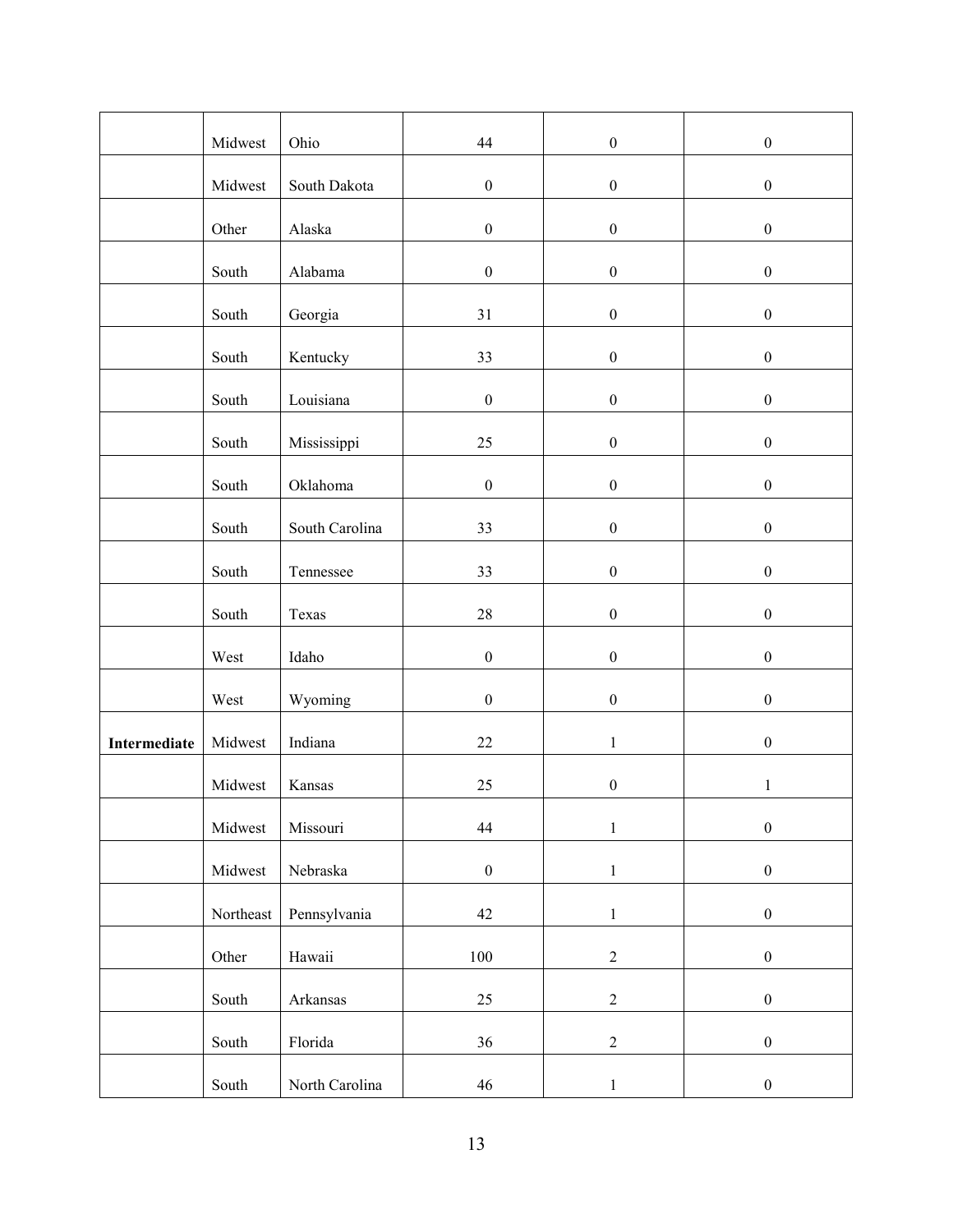|              | Midwest   | Ohio           | 44               | $\boldsymbol{0}$ | $\boldsymbol{0}$ |
|--------------|-----------|----------------|------------------|------------------|------------------|
|              | Midwest   | South Dakota   | $\boldsymbol{0}$ | $\boldsymbol{0}$ | $\boldsymbol{0}$ |
|              | Other     | Alaska         | $\boldsymbol{0}$ | $\boldsymbol{0}$ | $\boldsymbol{0}$ |
|              | South     | Alabama        | $\boldsymbol{0}$ | $\boldsymbol{0}$ | $\boldsymbol{0}$ |
|              | South     | Georgia        | 31               | $\boldsymbol{0}$ | $\boldsymbol{0}$ |
|              | South     | Kentucky       | 33               | $\boldsymbol{0}$ | $\boldsymbol{0}$ |
|              | South     | Louisiana      | $\boldsymbol{0}$ | $\boldsymbol{0}$ | $\boldsymbol{0}$ |
|              | South     | Mississippi    | $25\,$           | $\boldsymbol{0}$ | $\boldsymbol{0}$ |
|              | South     | Oklahoma       | $\boldsymbol{0}$ | $\boldsymbol{0}$ | $\boldsymbol{0}$ |
|              | South     | South Carolina | 33               | $\boldsymbol{0}$ | $\boldsymbol{0}$ |
|              | South     | Tennessee      | 33               | $\boldsymbol{0}$ | $\boldsymbol{0}$ |
|              | South     | Texas          | $28\,$           | $\boldsymbol{0}$ | $\boldsymbol{0}$ |
|              | West      | Idaho          | $\boldsymbol{0}$ | $\boldsymbol{0}$ | $\boldsymbol{0}$ |
|              | West      | Wyoming        | $\boldsymbol{0}$ | $\boldsymbol{0}$ | $\boldsymbol{0}$ |
| Intermediate | Midwest   | Indiana        | $22\,$           | $\,1$            | $\boldsymbol{0}$ |
|              | Midwest   | Kansas         | $25\,$           | $\boldsymbol{0}$ | $\mathbf{1}$     |
|              | Midwest   | Missouri       | 44               | $\,1$            | $\boldsymbol{0}$ |
|              | Midwest   | Nebraska       | $\boldsymbol{0}$ | $\,1$            | $\boldsymbol{0}$ |
|              |           |                |                  |                  |                  |
|              | Northeast | Pennsylvania   | $42\,$           | $\mathbf{1}$     | $\boldsymbol{0}$ |
|              | Other     | Hawaii         | $100\,$          | $\sqrt{2}$       | $\boldsymbol{0}$ |
|              | South     | Arkansas       | $25\,$           | $\boldsymbol{2}$ | $\boldsymbol{0}$ |
|              | South     | Florida        | 36               | $\overline{2}$   | $\boldsymbol{0}$ |
|              | South     | North Carolina | 46               | $\,1$            | $\boldsymbol{0}$ |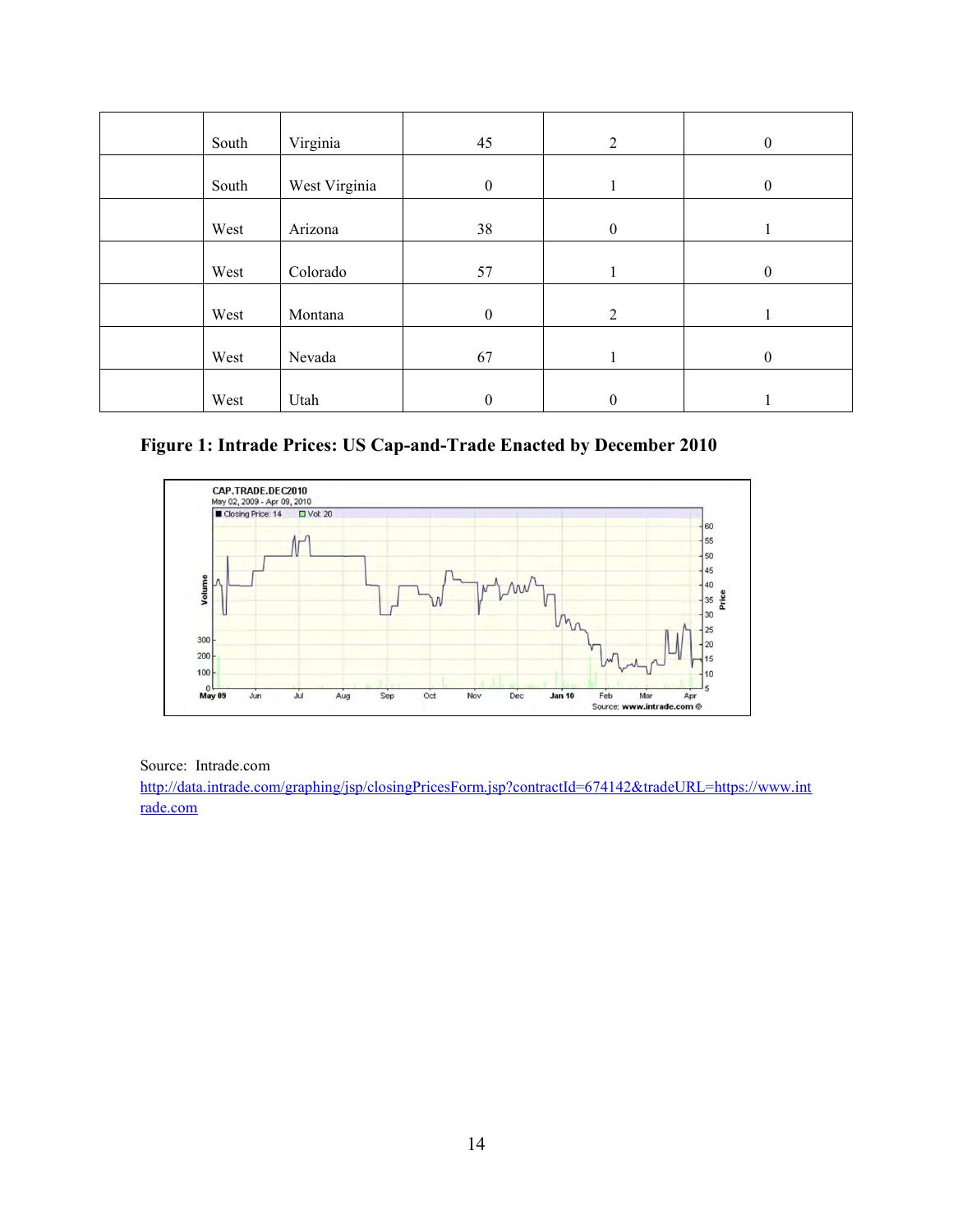| South | Virginia      | 45               | 2                | $\boldsymbol{0}$ |
|-------|---------------|------------------|------------------|------------------|
| South | West Virginia | $\mathbf{0}$     |                  | $\theta$         |
| West  | Arizona       | 38               | $\boldsymbol{0}$ |                  |
| West  | Colorado      | 57               |                  | $\theta$         |
| West  | Montana       | $\boldsymbol{0}$ | 2                |                  |
| West  | Nevada        | 67               |                  | $\boldsymbol{0}$ |
| West  | Utah          | $\mathbf{0}$     | $\mathbf{0}$     |                  |

#### **Figure 1: Intrade Prices: US Cap-and-Trade Enacted by December 2010**



Source: Intrade.com

[http://data.intrade.com/graphing/jsp/closingPricesForm.jsp?contractId=674142&tradeURL=https://www.int](http://data.intrade.com/graphing/jsp/closingPricesForm.jsp?contractId=674142&tradeURL=https://www.intrade.com) [rade.com](http://data.intrade.com/graphing/jsp/closingPricesForm.jsp?contractId=674142&tradeURL=https://www.intrade.com)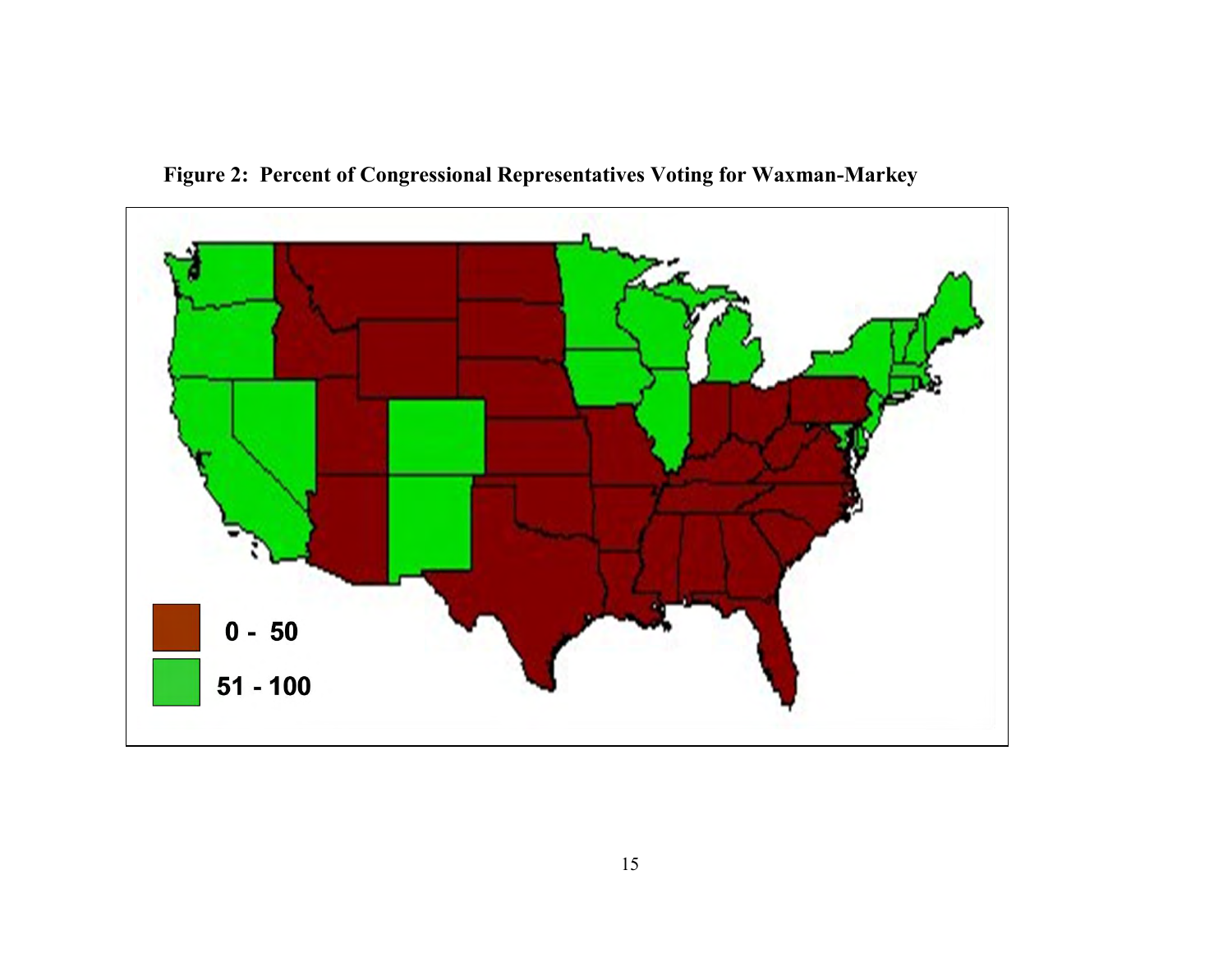

**Figure 2: Percent of Congressional Representatives Voting for Waxman-Markey**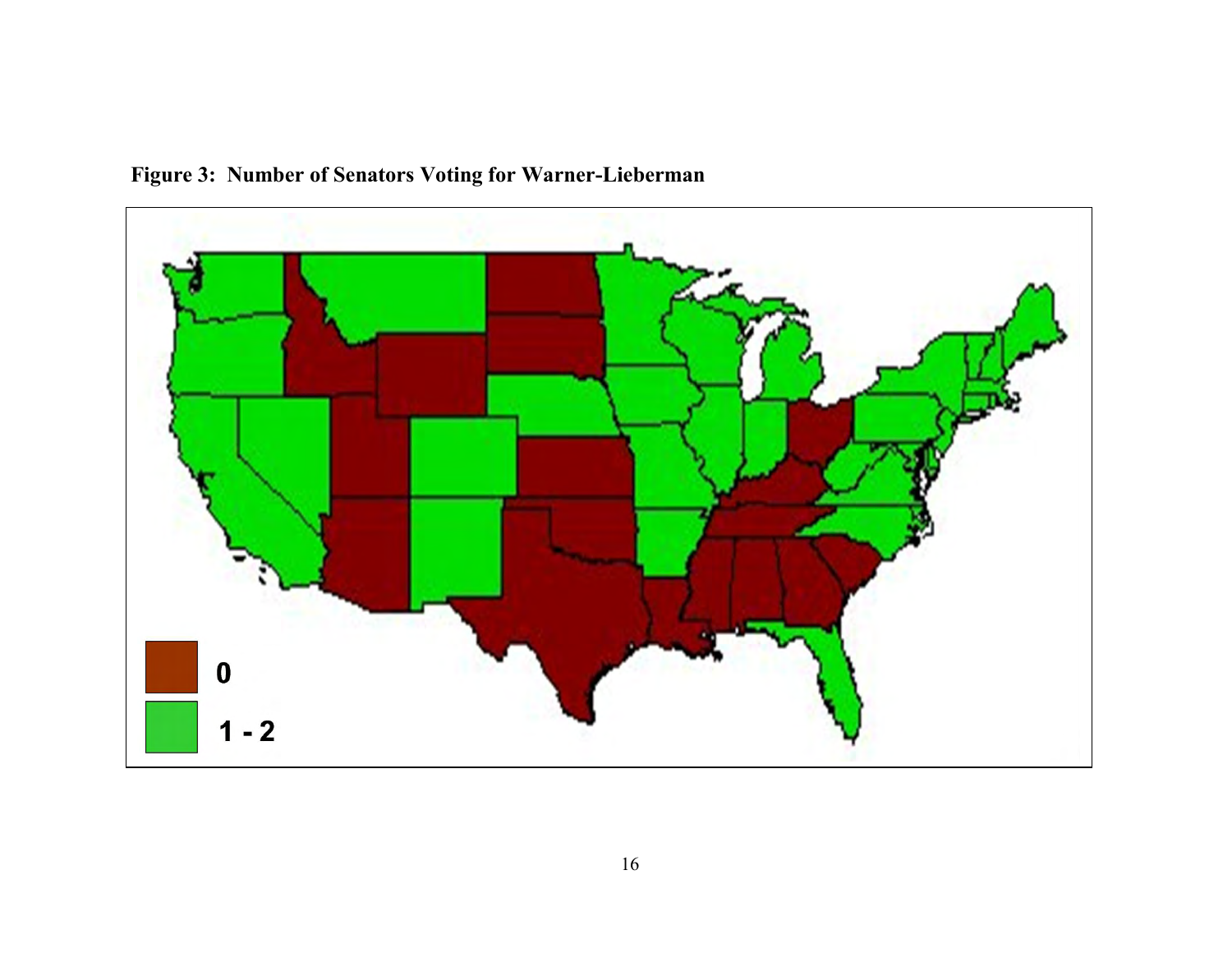

**Figure 3: Number of Senators Voting for Warner-Lieberman**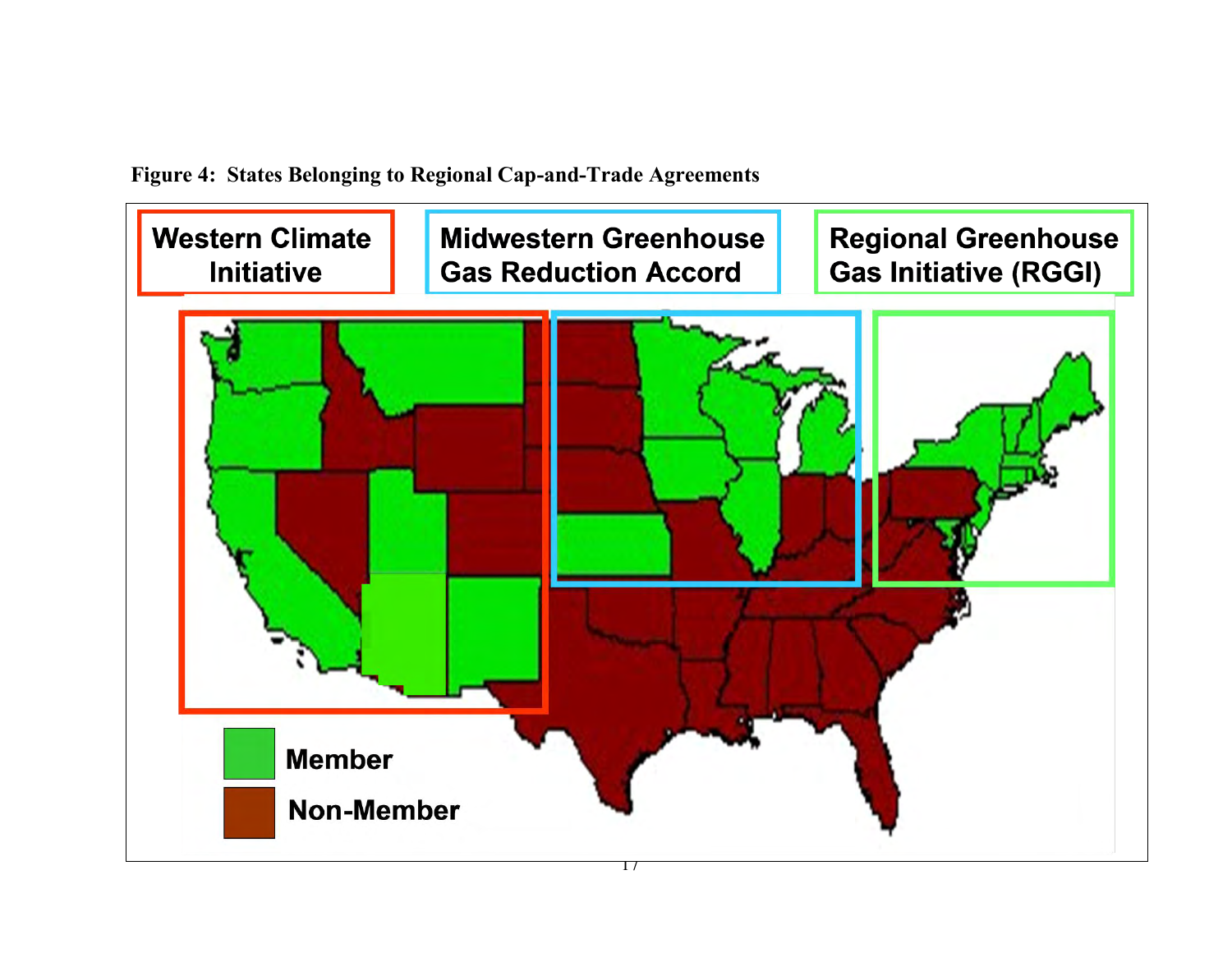

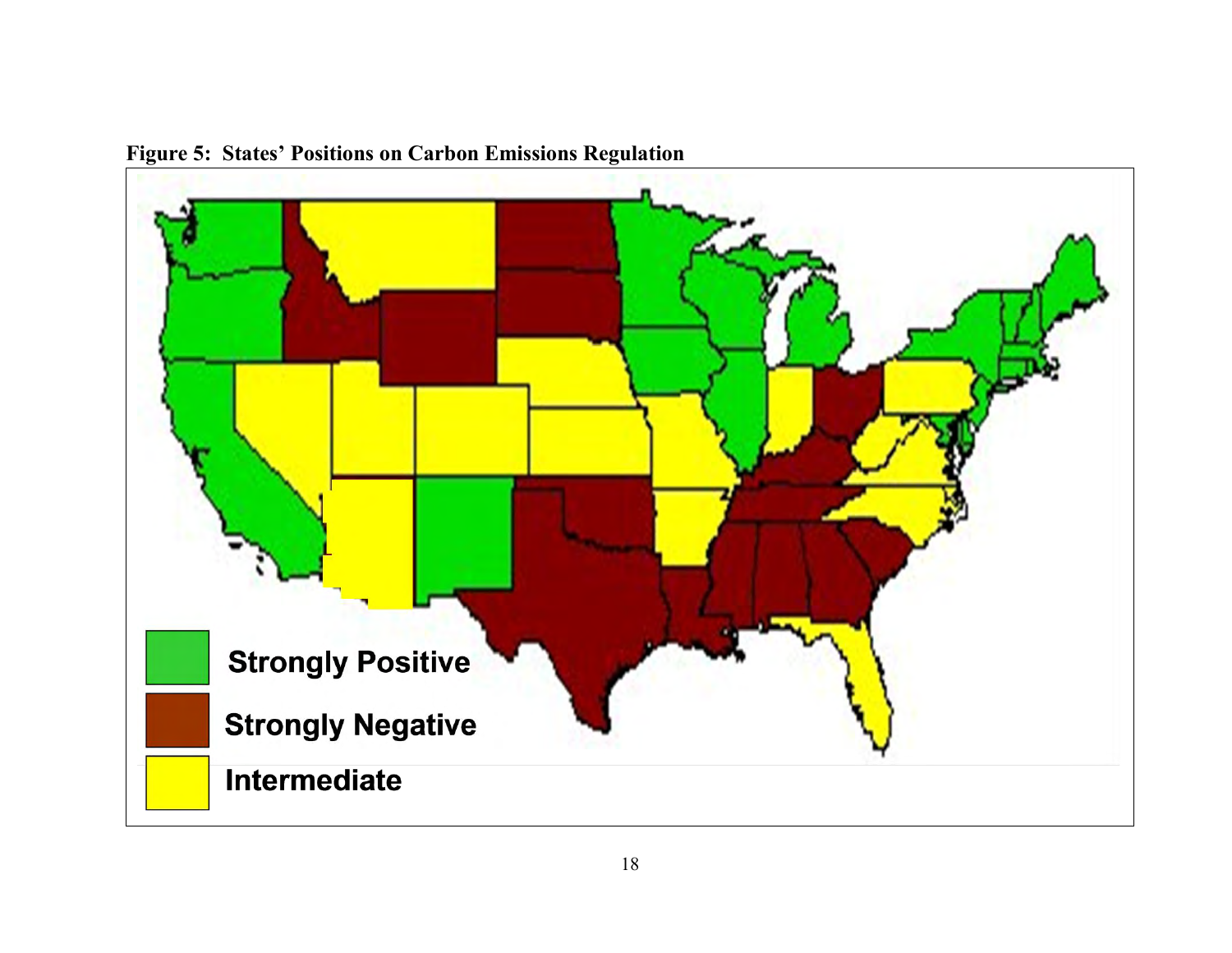

**Figure 5: States' Positions on Carbon Emissions Regulation**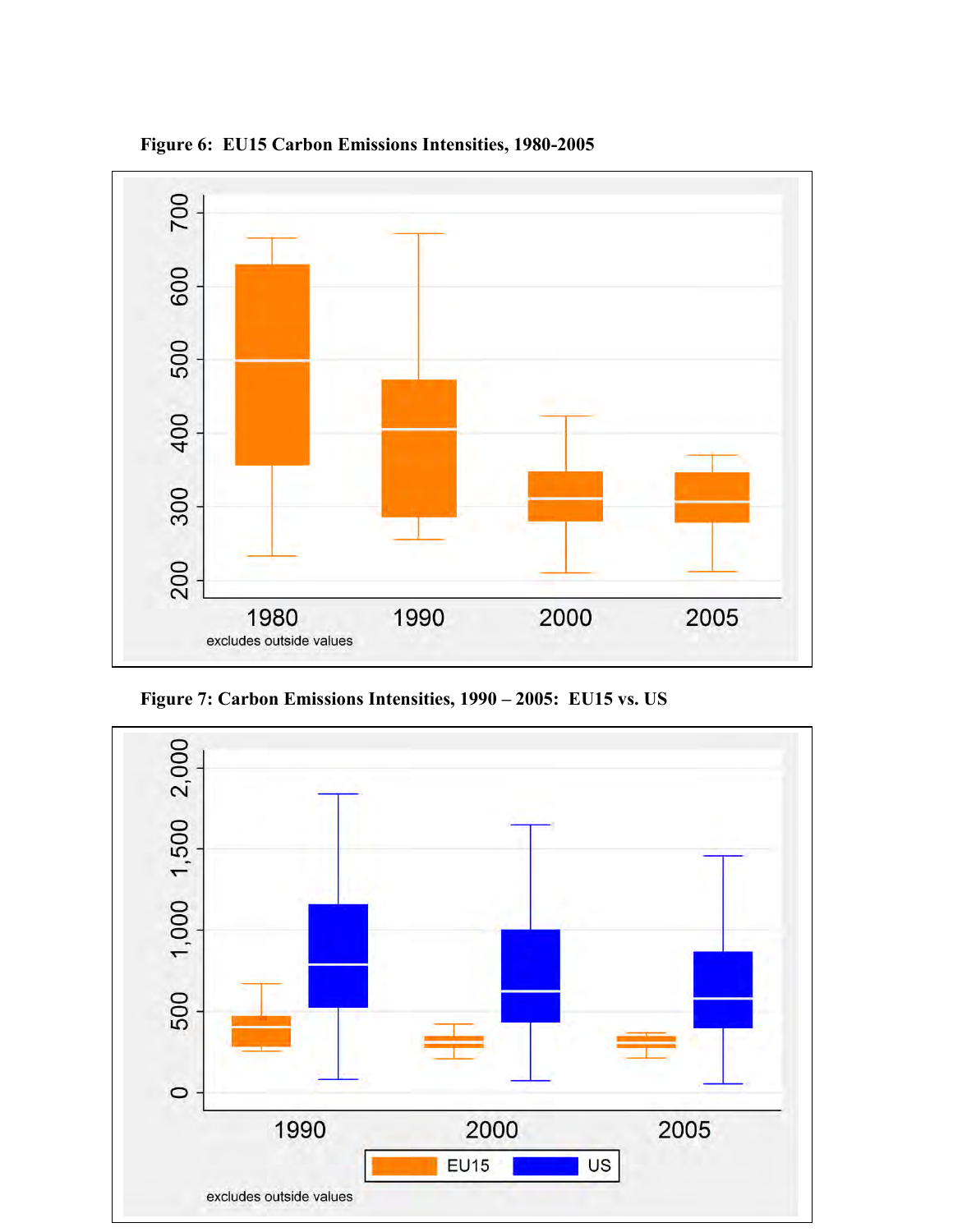

**Figure 6: EU15 Carbon Emissions Intensities, 1980-2005** 



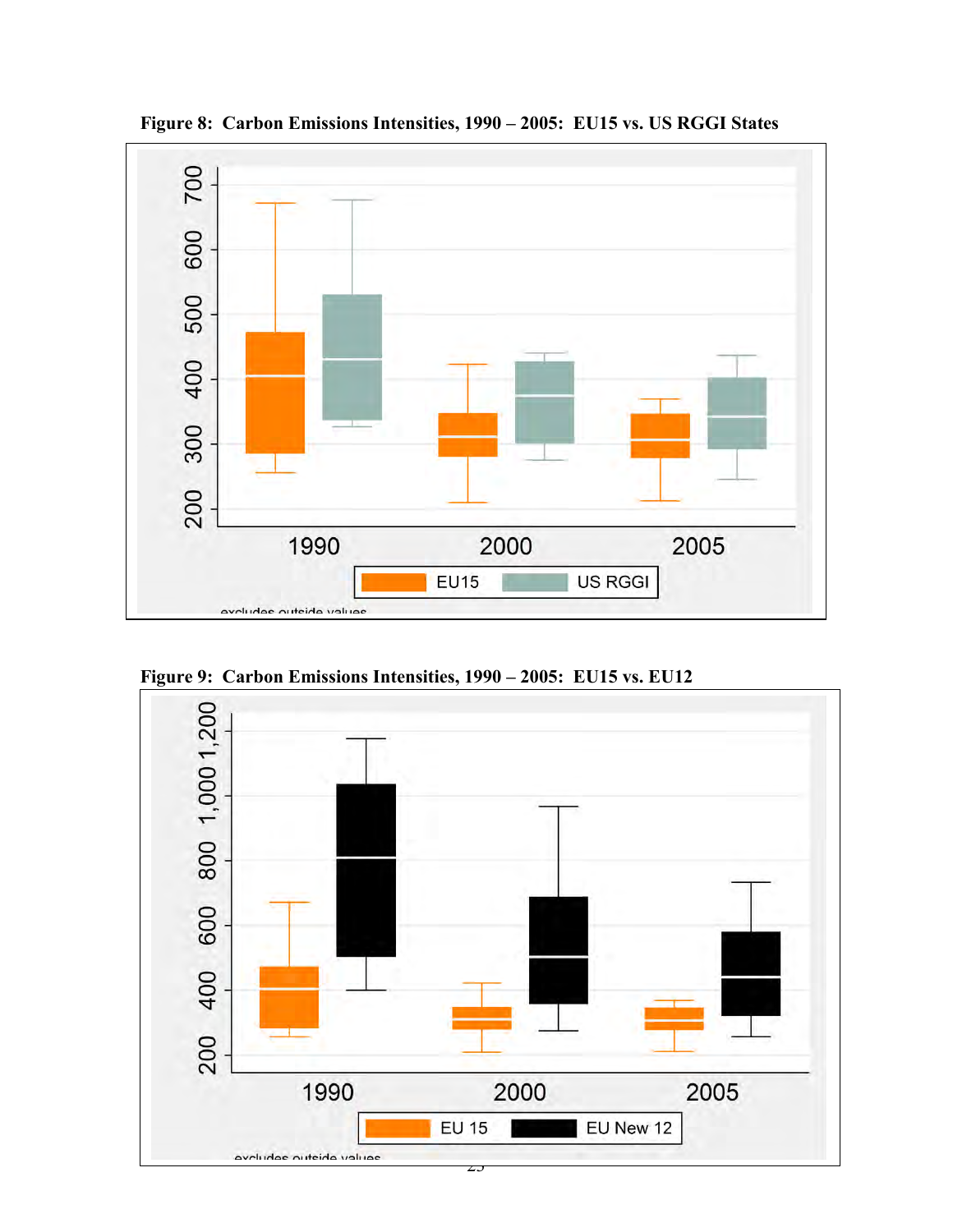

**Figure 8: Carbon Emissions Intensities, 1990 – 2005: EU15 vs. US RGGI States** 



**Figure 9: Carbon Emissions Intensities, 1990 – 2005: EU15 vs. EU12**